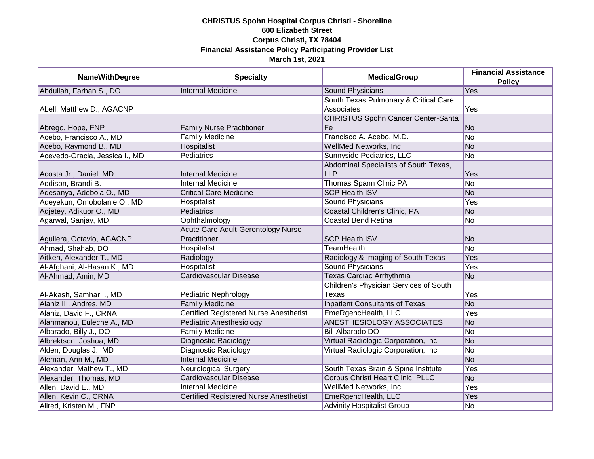| <b>NameWithDegree</b>          | <b>Specialty</b>                              | <b>MedicalGroup</b>                       | <b>Financial Assistance</b> |
|--------------------------------|-----------------------------------------------|-------------------------------------------|-----------------------------|
|                                |                                               |                                           | <b>Policy</b>               |
| Abdullah, Farhan S., DO        | <b>Internal Medicine</b>                      | <b>Sound Physicians</b>                   | Yes                         |
|                                |                                               | South Texas Pulmonary & Critical Care     |                             |
| Abell, Matthew D., AGACNP      |                                               | Associates                                | Yes                         |
|                                |                                               | <b>CHRISTUS Spohn Cancer Center-Santa</b> |                             |
| Abrego, Hope, FNP              | <b>Family Nurse Practitioner</b>              | Fe                                        | No                          |
| Acebo, Francisco A., MD        | <b>Family Medicine</b>                        | Francisco A. Acebo, M.D.                  | No                          |
| Acebo, Raymond B., MD          | Hospitalist                                   | <b>WellMed Networks, Inc.</b>             | No                          |
| Acevedo-Gracia, Jessica I., MD | <b>Pediatrics</b>                             | Sunnyside Pediatrics, LLC                 | No                          |
|                                |                                               | Abdominal Specialists of South Texas,     |                             |
| Acosta Jr., Daniel, MD         | <b>Internal Medicine</b>                      | <b>LLP</b>                                | Yes                         |
| Addison, Brandi B.             | <b>Internal Medicine</b>                      | Thomas Spann Clinic PA                    | No                          |
| Adesanya, Adebola O., MD       | <b>Critical Care Medicine</b>                 | <b>SCP Health ISV</b>                     | No                          |
| Adeyekun, Omobolanle O., MD    | Hospitalist                                   | Sound Physicians                          | Yes                         |
| Adjetey, Adikuor O., MD        | Pediatrics                                    | Coastal Children's Clinic, PA             | No                          |
| Agarwal, Sanjay, MD            | Ophthalmology                                 | <b>Coastal Bend Retina</b>                | No                          |
|                                | Acute Care Adult-Gerontology Nurse            |                                           |                             |
| Aguilera, Octavio, AGACNP      | Practitioner                                  | <b>SCP Health ISV</b>                     | No                          |
| Ahmad, Shahab, DO              | Hospitalist                                   | <b>TeamHealth</b>                         | No                          |
| Aitken, Alexander T., MD       | Radiology                                     | Radiology & Imaging of South Texas        | Yes                         |
| Al-Afghani, Al-Hasan K., MD    | Hospitalist                                   | <b>Sound Physicians</b>                   | Yes                         |
| Al-Ahmad, Amin, MD             | Cardiovascular Disease                        | <b>Texas Cardiac Arrhythmia</b>           | No                          |
|                                |                                               | Children's Physician Services of South    |                             |
| Al-Akash, Samhar I., MD        | Pediatric Nephrology                          | Texas                                     | Yes                         |
| Alaniz III, Andres, MD         | <b>Family Medicine</b>                        | <b>Inpatient Consultants of Texas</b>     | N <sub>o</sub>              |
| Alaniz, David F., CRNA         | <b>Certified Registered Nurse Anesthetist</b> | EmeRgencHealth, LLC                       | Yes                         |
| Alanmanou, Euleche A., MD      | Pediatric Anesthesiology                      | <b>ANESTHESIOLOGY ASSOCIATES</b>          | No                          |
| Albarado, Billy J., DO         | <b>Family Medicine</b>                        | <b>Bill Albarado DO</b>                   | No                          |
| Albrektson, Joshua, MD         | Diagnostic Radiology                          | Virtual Radiologic Corporation, Inc.      | No                          |
| Alden, Douglas J., MD          | Diagnostic Radiology                          | Virtual Radiologic Corporation, Inc.      | No                          |
| Aleman, Ann M., MD             | <b>Internal Medicine</b>                      |                                           | No                          |
| Alexander, Mathew T., MD       | <b>Neurological Surgery</b>                   | South Texas Brain & Spine Institute       | Yes                         |
| Alexander, Thomas, MD          | Cardiovascular Disease                        | Corpus Christi Heart Clinic, PLLC         | No                          |
| Allen, David E., MD            | <b>Internal Medicine</b>                      | WellMed Networks, Inc                     | Yes                         |
| Allen, Kevin C., CRNA          | Certified Registered Nurse Anesthetist        | EmeRgencHealth, LLC                       | Yes                         |
| Allred, Kristen M., FNP        |                                               | <b>Advinity Hospitalist Group</b>         | No                          |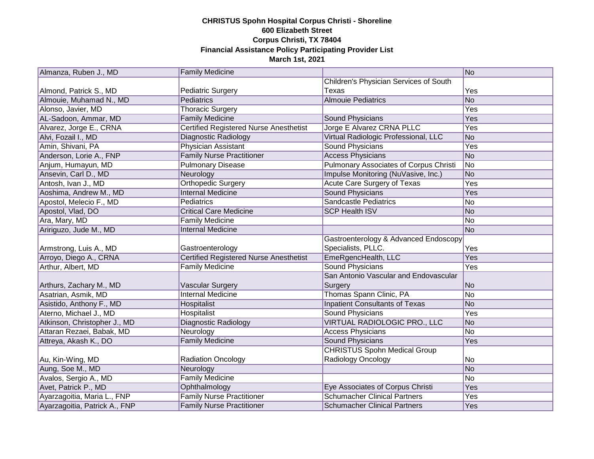| Almanza, Ruben J., MD         | <b>Family Medicine</b>                        |                                               | No         |
|-------------------------------|-----------------------------------------------|-----------------------------------------------|------------|
|                               |                                               | Children's Physician Services of South        |            |
| Almond, Patrick S., MD        | <b>Pediatric Surgery</b>                      | Texas                                         | Yes        |
| Almouie, Muhamad N., MD       | Pediatrics                                    | <b>Almouie Pediatrics</b>                     | No         |
| Alonso, Javier, MD            | <b>Thoracic Surgery</b>                       |                                               | Yes        |
| AL-Sadoon, Ammar, MD          | <b>Family Medicine</b>                        | Sound Physicians                              | Yes        |
| Alvarez, Jorge E., CRNA       | <b>Certified Registered Nurse Anesthetist</b> | Jorge E Alvarez CRNA PLLC                     | <b>Yes</b> |
| Alvi, Fozail I., MD           | Diagnostic Radiology                          | Virtual Radiologic Professional, LLC          | No         |
| Amin, Shivani, PA             | Physician Assistant                           | <b>Sound Physicians</b>                       | Yes        |
| Anderson, Lorie A., FNP       | <b>Family Nurse Practitioner</b>              | <b>Access Physicians</b>                      | No         |
| Anjum, Humayun, MD            | <b>Pulmonary Disease</b>                      | <b>Pulmonary Associates of Corpus Christi</b> | No         |
| Ansevin, Carl D., MD          | Neurology                                     | Impulse Monitoring (NuVasive, Inc.)           | No         |
| Antosh, Ivan J., MD           | Orthopedic Surgery                            | Acute Care Surgery of Texas                   | Yes        |
| Aoshima, Andrew M., MD        | <b>Internal Medicine</b>                      | Sound Physicians                              | Yes        |
| Apostol, Melecio F., MD       | Pediatrics                                    | <b>Sandcastle Pediatrics</b>                  | No         |
| Apostol, Vlad, DO             | <b>Critical Care Medicine</b>                 | <b>SCP Health ISV</b>                         | No         |
| Ara, Mary, MD                 | <b>Family Medicine</b>                        |                                               | No         |
| Aririguzo, Jude M., MD        | <b>Internal Medicine</b>                      |                                               | No         |
|                               |                                               | Gastroenterology & Advanced Endoscopy         |            |
| Armstrong, Luis A., MD        | Gastroenterology                              | Specialists, PLLC.                            | Yes        |
| Arroyo, Diego A., CRNA        | <b>Certified Registered Nurse Anesthetist</b> | EmeRgencHealth, LLC                           | Yes        |
| Arthur, Albert, MD            | <b>Family Medicine</b>                        | <b>Sound Physicians</b>                       | Yes        |
|                               |                                               | San Antonio Vascular and Endovascular         |            |
| Arthurs, Zachary M., MD       | Vascular Surgery                              | Surgery                                       | No         |
| Asatrian, Asmik, MD           | <b>Internal Medicine</b>                      | Thomas Spann Clinic, PA                       | No         |
| Asistido, Anthony F., MD      | Hospitalist                                   | <b>Inpatient Consultants of Texas</b>         | No         |
| Aterno, Michael J., MD        | Hospitalist                                   | Sound Physicians                              | Yes        |
| Atkinson, Christopher J., MD  | Diagnostic Radiology                          | VIRTUAL RADIOLOGIC PRO., LLC                  | No         |
| Attaran Rezaei, Babak, MD     | Neurology                                     | <b>Access Physicians</b>                      | No         |
| Attreya, Akash K., DO         | <b>Family Medicine</b>                        | Sound Physicians                              | Yes        |
|                               |                                               | <b>CHRISTUS Spohn Medical Group</b>           |            |
| Au, Kin-Wing, MD              | <b>Radiation Oncology</b>                     | Radiology Oncology                            | No         |
| Aung, Soe M., MD              | Neurology                                     |                                               | No         |
| Avalos, Sergio A., MD         | <b>Family Medicine</b>                        |                                               | No         |
| Avet, Patrick P., MD          | Ophthalmology                                 | Eye Associates of Corpus Christi              | Yes        |
| Ayarzagoitia, Maria L., FNP   | <b>Family Nurse Practitioner</b>              | <b>Schumacher Clinical Partners</b>           | Yes        |
| Ayarzagoitia, Patrick A., FNP | <b>Family Nurse Practitioner</b>              | <b>Schumacher Clinical Partners</b>           | Yes        |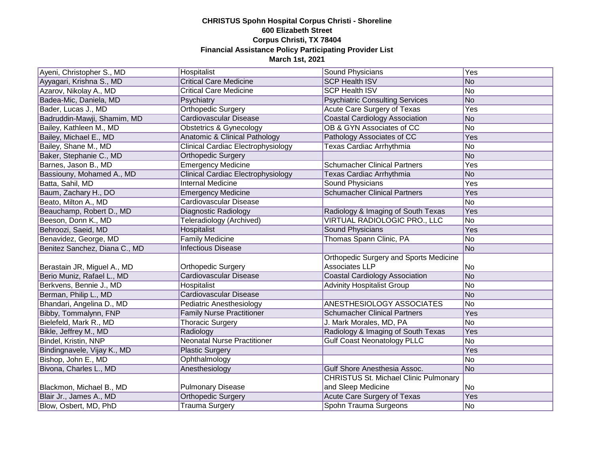| Ayeni, Christopher S., MD     | Hospitalist                               | Sound Physicians                              | Yes        |
|-------------------------------|-------------------------------------------|-----------------------------------------------|------------|
| Ayyagari, Krishna S., MD      | <b>Critical Care Medicine</b>             | <b>SCP Health ISV</b>                         | No         |
| Azarov, Nikolay A., MD        | <b>Critical Care Medicine</b>             | <b>SCP Health ISV</b>                         | No         |
| Badea-Mic, Daniela, MD        | Psychiatry                                | <b>Psychiatric Consulting Services</b>        | No         |
| Bader, Lucas J., MD           | <b>Orthopedic Surgery</b>                 | Acute Care Surgery of Texas                   | <b>Yes</b> |
| Badruddin-Mawji, Shamim, MD   | Cardiovascular Disease                    | <b>Coastal Cardiology Association</b>         | No         |
| Bailey, Kathleen M., MD       | Obstetrics & Gynecology                   | OB & GYN Associates of CC                     | No         |
| Bailey, Michael E., MD        | <b>Anatomic &amp; Clinical Pathology</b>  | Pathology Associates of CC                    | Yes        |
| Bailey, Shane M., MD          | <b>Clinical Cardiac Electrophysiology</b> | <b>Texas Cardiac Arrhythmia</b>               | No         |
| Baker, Stephanie C., MD       | Orthopedic Surgery                        |                                               | No         |
| Barnes, Jason B., MD          | <b>Emergency Medicine</b>                 | <b>Schumacher Clinical Partners</b>           | Yes        |
| Bassiouny, Mohamed A., MD     | <b>Clinical Cardiac Electrophysiology</b> | Texas Cardiac Arrhythmia                      | No         |
| Batta, Sahil, MD              | Internal Medicine                         | Sound Physicians                              | Yes        |
| Baum, Zachary H., DO          | <b>Emergency Medicine</b>                 | <b>Schumacher Clinical Partners</b>           | Yes        |
| Beato, Milton A., MD          | Cardiovascular Disease                    |                                               | No         |
| Beauchamp, Robert D., MD      | Diagnostic Radiology                      | Radiology & Imaging of South Texas            | Yes        |
| Beeson, Donn K., MD           | Teleradiology (Archived)                  | VIRTUAL RADIOLOGIC PRO., LLC                  | No         |
| Behroozi, Saeid, MD           | Hospitalist                               | <b>Sound Physicians</b>                       | Yes        |
| Benavidez, George, MD         | <b>Family Medicine</b>                    | Thomas Spann Clinic, PA                       | No         |
| Benitez Sanchez, Diana C., MD | <b>Infectious Disease</b>                 |                                               | No         |
|                               |                                           | <b>Orthopedic Surgery and Sports Medicine</b> |            |
| Berastain JR, Miguel A., MD   | Orthopedic Surgery                        | Associates LLP                                | No         |
| Berio Muniz, Rafael L., MD    | <b>Cardiovascular Disease</b>             | <b>Coastal Cardiology Association</b>         | No         |
| Berkvens, Bennie J., MD       | Hospitalist                               | <b>Advinity Hospitalist Group</b>             | No         |
| Berman, Philip L., MD         | <b>Cardiovascular Disease</b>             |                                               | No         |
| Bhandari, Angelina D., MD     | Pediatric Anesthesiology                  | ANESTHESIOLOGY ASSOCIATES                     | No         |
| Bibby, Tommalynn, FNP         | <b>Family Nurse Practitioner</b>          | <b>Schumacher Clinical Partners</b>           | Yes        |
| Bielefeld, Mark R., MD        | <b>Thoracic Surgery</b>                   | J. Mark Morales, MD, PA                       | No         |
| Bikle, Jeffrey M., MD         | Radiology                                 | Radiology & Imaging of South Texas            | Yes        |
| Bindel, Kristin, NNP          | <b>Neonatal Nurse Practitioner</b>        | <b>Gulf Coast Neonatology PLLC</b>            | No         |
| Bindingnavele, Vijay K., MD   | <b>Plastic Surgery</b>                    |                                               | Yes        |
| Bishop, John E., MD           | Ophthalmology                             |                                               | No         |
| Bivona, Charles L., MD        | Anesthesiology                            | Gulf Shore Anesthesia Assoc.                  | No         |
|                               |                                           | <b>CHRISTUS St. Michael Clinic Pulmonary</b>  |            |
| Blackmon, Michael B., MD      | <b>Pulmonary Disease</b>                  | and Sleep Medicine                            | No         |
| Blair Jr., James A., MD       | <b>Orthopedic Surgery</b>                 | Acute Care Surgery of Texas                   | Yes        |
| Blow, Osbert, MD, PhD         | <b>Trauma Surgery</b>                     | Spohn Trauma Surgeons                         | No         |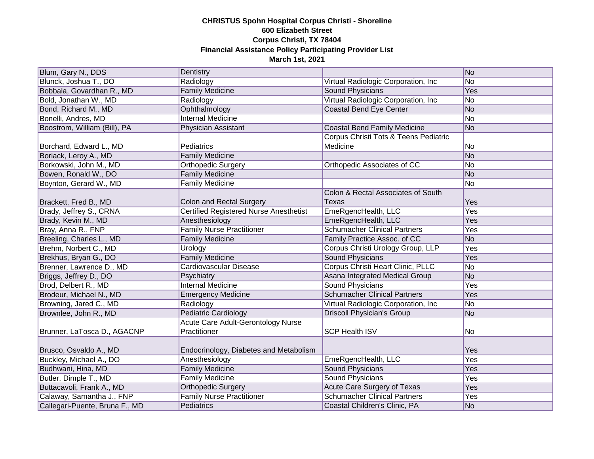| Blum, Gary N., DDS             | Dentistry                                     |                                       | No  |
|--------------------------------|-----------------------------------------------|---------------------------------------|-----|
| Blunck, Joshua T., DO          | Radiology                                     | Virtual Radiologic Corporation, Inc   | No  |
| Bobbala, Govardhan R., MD      | <b>Family Medicine</b>                        | Sound Physicians                      | Yes |
| Bold, Jonathan W., MD          | Radiology                                     | Virtual Radiologic Corporation, Inc.  | No  |
| Bond, Richard M., MD           | Ophthalmology                                 | <b>Coastal Bend Eye Center</b>        | No  |
| Bonelli, Andres, MD            | <b>Internal Medicine</b>                      |                                       | No  |
| Boostrom, William (Bill), PA   | Physician Assistant                           | <b>Coastal Bend Family Medicine</b>   | No  |
|                                |                                               | Corpus Christi Tots & Teens Pediatric |     |
| Borchard, Edward L., MD        | Pediatrics                                    | Medicine                              | No  |
| Boriack, Leroy A., MD          | <b>Family Medicine</b>                        |                                       | No  |
| Borkowski, John M., MD         | Orthopedic Surgery                            | Orthopedic Associates of CC           | No  |
| Bowen, Ronald W., DO           | <b>Family Medicine</b>                        |                                       | No  |
| Boynton, Gerard W., MD         | <b>Family Medicine</b>                        |                                       | No  |
|                                |                                               | Colon & Rectal Associates of South    |     |
| Brackett, Fred B., MD          | Colon and Rectal Surgery                      | Texas                                 | Yes |
| Brady, Jeffrey S., CRNA        | <b>Certified Registered Nurse Anesthetist</b> | EmeRgencHealth, LLC                   | Yes |
| Brady, Kevin M., MD            | Anesthesiology                                | EmeRgencHealth, LLC                   | Yes |
| Bray, Anna R., FNP             | <b>Family Nurse Practitioner</b>              | <b>Schumacher Clinical Partners</b>   | Yes |
| Breeling, Charles L., MD       | <b>Family Medicine</b>                        | Family Practice Assoc. of CC          | No  |
| Brehm, Norbert C., MD          | Urology                                       | Corpus Christi Urology Group, LLP     | Yes |
| Brekhus, Bryan G., DO          | <b>Family Medicine</b>                        | <b>Sound Physicians</b>               | Yes |
| Brenner, Lawrence D., MD       | Cardiovascular Disease                        | Corpus Christi Heart Clinic, PLLC     | No  |
| Briggs, Jeffrey D., DO         | Psychiatry                                    | Asana Integrated Medical Group        | No  |
| Brod, Delbert R., MD           | <b>Internal Medicine</b>                      | <b>Sound Physicians</b>               | Yes |
| Brodeur, Michael N., MD        | <b>Emergency Medicine</b>                     | <b>Schumacher Clinical Partners</b>   | Yes |
| Browning, Jared C., MD         | Radiology                                     | Virtual Radiologic Corporation, Inc   | No  |
| Brownlee, John R., MD          | <b>Pediatric Cardiology</b>                   | <b>Driscoll Physician's Group</b>     | No  |
|                                | Acute Care Adult-Gerontology Nurse            |                                       |     |
| Brunner, LaTosca D., AGACNP    | Practitioner                                  | <b>SCP Health ISV</b>                 | No  |
|                                |                                               |                                       |     |
| Brusco, Osvaldo A., MD         | Endocrinology, Diabetes and Metabolism        |                                       | Yes |
| Buckley, Michael A., DO        | Anesthesiology                                | EmeRgencHealth, LLC                   | Yes |
| Budhwani, Hina, MD             | <b>Family Medicine</b>                        | <b>Sound Physicians</b>               | Yes |
| Butler, Dimple T., MD          | <b>Family Medicine</b>                        | <b>Sound Physicians</b>               | Yes |
| Buttacavoli, Frank A., MD      | <b>Orthopedic Surgery</b>                     | Acute Care Surgery of Texas           | Yes |
| Calaway, Samantha J., FNP      | <b>Family Nurse Practitioner</b>              | <b>Schumacher Clinical Partners</b>   | Yes |
| Callegari-Puente, Bruna F., MD | Pediatrics                                    | Coastal Children's Clinic, PA         | No  |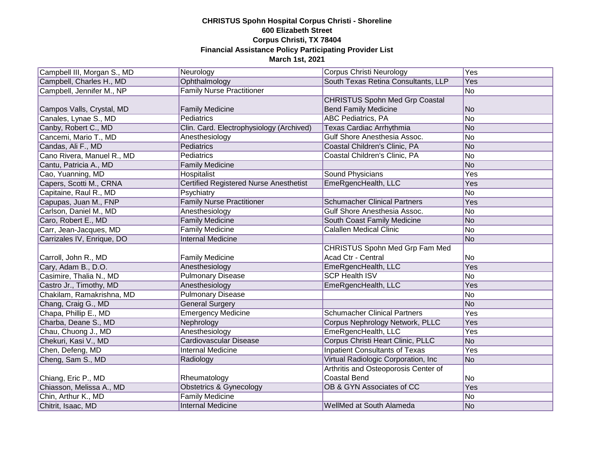| Campbell III, Morgan S., MD | Neurology                                | Corpus Christi Neurology              | Yes            |
|-----------------------------|------------------------------------------|---------------------------------------|----------------|
| Campbell, Charles H., MD    | Ophthalmology                            | South Texas Retina Consultants, LLP   | Yes            |
| Campbell, Jennifer M., NP   | <b>Family Nurse Practitioner</b>         |                                       | No             |
|                             |                                          | <b>CHRISTUS Spohn Med Grp Coastal</b> |                |
| Campos Valls, Crystal, MD   | <b>Family Medicine</b>                   | <b>Bend Family Medicine</b>           | N <sub>o</sub> |
| Canales, Lynae S., MD       | <b>Pediatrics</b>                        | <b>ABC Pediatrics, PA</b>             | No             |
| Canby, Robert C., MD        | Clin. Card. Electrophysiology (Archived) | Texas Cardiac Arrhythmia              | No             |
| Cancemi, Mario T., MD       | Anesthesiology                           | Gulf Shore Anesthesia Assoc.          | No             |
| Candas, Ali F., MD          | Pediatrics                               | Coastal Children's Clinic, PA         | No             |
| Cano Rivera, Manuel R., MD  | Pediatrics                               | Coastal Children's Clinic, PA         | No             |
| Cantu, Patricia A., MD      | <b>Family Medicine</b>                   |                                       | No             |
| Cao, Yuanning, MD           | Hospitalist                              | Sound Physicians                      | Yes            |
| Capers, Scotti M., CRNA     | Certified Registered Nurse Anesthetist   | EmeRgencHealth, LLC                   | Yes            |
| Capitaine, Raul R., MD      | Psychiatry                               |                                       | No             |
| Capupas, Juan M., FNP       | <b>Family Nurse Practitioner</b>         | <b>Schumacher Clinical Partners</b>   | Yes            |
| Carlson, Daniel M., MD      | Anesthesiology                           | Gulf Shore Anesthesia Assoc.          | No             |
| Caro, Robert E., MD         | <b>Family Medicine</b>                   | South Coast Family Medicine           | No             |
| Carr, Jean-Jacques, MD      | <b>Family Medicine</b>                   | <b>Calallen Medical Clinic</b>        | No             |
| Carrizales IV, Enrique, DO  | <b>Internal Medicine</b>                 |                                       | No             |
|                             |                                          | <b>CHRISTUS Spohn Med Grp Fam Med</b> |                |
| Carroll, John R., MD        | <b>Family Medicine</b>                   | Acad Ctr - Central                    | No             |
| Cary, Adam B., D.O.         | Anesthesiology                           | EmeRgencHealth, LLC                   | Yes            |
| Casimire, Thalia N., MD     | <b>Pulmonary Disease</b>                 | <b>SCP Health ISV</b>                 | No             |
| Castro Jr., Timothy, MD     | Anesthesiology                           | EmeRgencHealth, LLC                   | Yes            |
| Chakilam, Ramakrishna, MD   | <b>Pulmonary Disease</b>                 |                                       | No             |
| Chang, Craig G., MD         | <b>General Surgery</b>                   |                                       | No             |
| Chapa, Phillip E., MD       | <b>Emergency Medicine</b>                | <b>Schumacher Clinical Partners</b>   | Yes            |
| Charba, Deane S., MD        | Nephrology                               | Corpus Nephrology Network, PLLC       | Yes            |
| Chau, Chuong J., MD         | Anesthesiology                           | EmeRgencHealth, LLC                   | Yes            |
| Chekuri, Kasi V., MD        | <b>Cardiovascular Disease</b>            | Corpus Christi Heart Clinic, PLLC     | No             |
| Chen, Defeng, MD            | <b>Internal Medicine</b>                 | <b>Inpatient Consultants of Texas</b> | Yes            |
| Cheng, Sam S., MD           | Radiology                                | Virtual Radiologic Corporation, Inc.  | No             |
|                             |                                          | Arthritis and Osteoporosis Center of  |                |
| Chiang, Eric P., MD         | Rheumatology                             | <b>Coastal Bend</b>                   | No             |
| Chiasson, Melissa A., MD    | <b>Obstetrics &amp; Gynecology</b>       | OB & GYN Associates of CC             | Yes            |
| Chin, Arthur K., MD         | <b>Family Medicine</b>                   |                                       | No             |
| Chitrit, Isaac, MD          | <b>Internal Medicine</b>                 | WellMed at South Alameda              | No             |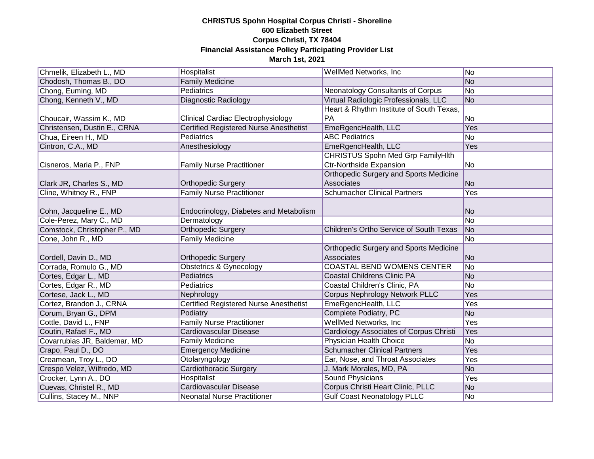| Chmelik, Elizabeth L., MD    | Hospitalist                                   | WellMed Networks, Inc.                         | No             |
|------------------------------|-----------------------------------------------|------------------------------------------------|----------------|
| Chodosh, Thomas B., DO       | <b>Family Medicine</b>                        |                                                | No             |
| Chong, Euming, MD            | <b>Pediatrics</b>                             | Neonatology Consultants of Corpus              | No             |
| Chong, Kenneth V., MD        | Diagnostic Radiology                          | Virtual Radiologic Professionals, LLC          | No             |
|                              |                                               | Heart & Rhythm Institute of South Texas,       |                |
| Choucair, Wassim K., MD      | <b>Clinical Cardiac Electrophysiology</b>     | PA                                             | No             |
| Christensen, Dustin E., CRNA | <b>Certified Registered Nurse Anesthetist</b> | EmeRgencHealth, LLC                            | Yes            |
| Chua, Eireen H., MD          | Pediatrics                                    | <b>ABC Pediatrics</b>                          | No             |
| Cintron, C.A., MD            | Anesthesiology                                | EmeRgencHealth, LLC                            | Yes            |
|                              |                                               | CHRISTUS Spohn Med Grp FamilyHlth              |                |
| Cisneros, Maria P., FNP      | <b>Family Nurse Practitioner</b>              | <b>Ctr-Northside Expansion</b>                 | N <sub>o</sub> |
|                              |                                               | Orthopedic Surgery and Sports Medicine         |                |
| Clark JR, Charles S., MD     | <b>Orthopedic Surgery</b>                     | Associates                                     | No             |
| Cline, Whitney R., FNP       | <b>Family Nurse Practitioner</b>              | <b>Schumacher Clinical Partners</b>            | Yes            |
|                              |                                               |                                                |                |
| Cohn, Jacqueline E., MD      | Endocrinology, Diabetes and Metabolism        |                                                | No             |
| Cole-Perez, Mary C., MD      | Dermatology                                   |                                                | No             |
| Comstock, Christopher P., MD | <b>Orthopedic Surgery</b>                     | Children's Ortho Service of South Texas        | No             |
| Cone, John R., MD            | <b>Family Medicine</b>                        |                                                | No             |
|                              |                                               | Orthopedic Surgery and Sports Medicine         |                |
| Cordell, Davin D., MD        | <b>Orthopedic Surgery</b>                     | Associates                                     | No             |
| Corrada, Romulo G., MD       | <b>Obstetrics &amp; Gynecology</b>            | <b>COASTAL BEND WOMENS CENTER</b>              | No             |
| Cortes, Edgar L., MD         | Pediatrics                                    | <b>Coastal Childrens Clinic PA</b>             | No             |
| Cortes, Edgar R., MD         | Pediatrics                                    | Coastal Children's Clinic, PA                  | No             |
| Cortese, Jack L., MD         | Nephrology                                    | <b>Corpus Nephrology Network PLLC</b>          | Yes            |
| Cortez, Brandon J., CRNA     | <b>Certified Registered Nurse Anesthetist</b> | EmeRgencHealth, LLC                            | Yes            |
| Corum, Bryan G., DPM         | Podiatry                                      | Complete Podiatry, PC                          | No             |
| Cottle, David L., FNP        | <b>Family Nurse Practitioner</b>              | WellMed Networks, Inc.                         | Yes            |
| Coutin, Rafael F., MD        | <b>Cardiovascular Disease</b>                 | <b>Cardiology Associates of Corpus Christi</b> | Yes            |
| Covarrubias JR, Baldemar, MD | <b>Family Medicine</b>                        | Physician Health Choice                        | No             |
| Crapo, Paul D., DO           | <b>Emergency Medicine</b>                     | <b>Schumacher Clinical Partners</b>            | Yes            |
| Creamean, Troy L., DO        | Otolaryngology                                | Ear, Nose, and Throat Associates               | Yes            |
| Crespo Velez, Wilfredo, MD   | <b>Cardiothoracic Surgery</b>                 | J. Mark Morales, MD, PA                        | No             |
| Crocker, Lynn A., DO         | Hospitalist                                   | <b>Sound Physicians</b>                        | Yes            |
| Cuevas, Christel R., MD      | <b>Cardiovascular Disease</b>                 | Corpus Christi Heart Clinic, PLLC              | No             |
| Cullins, Stacey M., NNP      | <b>Neonatal Nurse Practitioner</b>            | <b>Gulf Coast Neonatology PLLC</b>             | No             |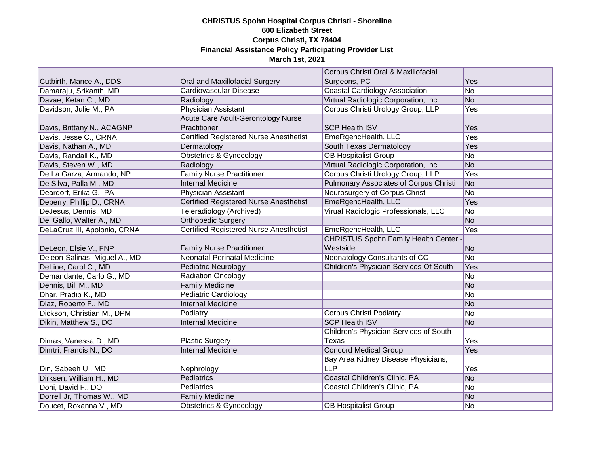|                               |                                               | Corpus Christi Oral & Maxillofacial           |     |
|-------------------------------|-----------------------------------------------|-----------------------------------------------|-----|
| Cutbirth, Mance A., DDS       | Oral and Maxillofacial Surgery                | Surgeons, PC                                  | Yes |
| Damaraju, Srikanth, MD        | Cardiovascular Disease                        | <b>Coastal Cardiology Association</b>         | No  |
| Davae, Ketan C., MD           | Radiology                                     | Virtual Radiologic Corporation, Inc.          | No  |
| Davidson, Julie M., PA        | <b>Physician Assistant</b>                    | Corpus Christi Urology Group, LLP             | Yes |
|                               | <b>Acute Care Adult-Gerontology Nurse</b>     |                                               |     |
| Davis, Brittany N., ACAGNP    | Practitioner                                  | <b>SCP Health ISV</b>                         | Yes |
| Davis, Jesse C., CRNA         | <b>Certified Registered Nurse Anesthetist</b> | EmeRgencHealth, LLC                           | Yes |
| Davis, Nathan A., MD          | Dermatology                                   | South Texas Dermatology                       | Yes |
| Davis, Randall K., MD         | <b>Obstetrics &amp; Gynecology</b>            | <b>OB Hospitalist Group</b>                   | No  |
| Davis, Steven W., MD          | Radiology                                     | Virtual Radiologic Corporation, Inc.          | No  |
| De La Garza, Armando, NP      | <b>Family Nurse Practitioner</b>              | Corpus Christi Urology Group, LLP             | Yes |
| De Silva, Palla M., MD        | <b>Internal Medicine</b>                      | <b>Pulmonary Associates of Corpus Christi</b> | No  |
| Deardorf, Erika G., PA        | Physician Assistant                           | Neurosurgery of Corpus Christi                | No  |
| Deberry, Phillip D., CRNA     | Certified Registered Nurse Anesthetist        | EmeRgencHealth, LLC                           | Yes |
| DeJesus, Dennis, MD           | Teleradiology (Archived)                      | Virual Radiologic Professionals, LLC          | No  |
| Del Gallo, Walter A., MD      | <b>Orthopedic Surgery</b>                     |                                               | No  |
| DeLaCruz III, Apolonio, CRNA  | Certified Registered Nurse Anesthetist        | EmeRgencHealth, LLC                           | Yes |
|                               |                                               | <b>CHRISTUS Spohn Family Health Center</b>    |     |
| DeLeon, Elsie V., FNP         | <b>Family Nurse Practitioner</b>              | Westside                                      | No  |
| Deleon-Salinas, Miguel A., MD | Neonatal-Perinatal Medicine                   | Neonatology Consultants of CC                 | No  |
| DeLine, Carol C., MD          | <b>Pediatric Neurology</b>                    | Children's Physician Services Of South        | Yes |
| Demandante, Carlo G., MD      | <b>Radiation Oncology</b>                     |                                               | No  |
| Dennis, Bill M., MD           | <b>Family Medicine</b>                        |                                               | No  |
| Dhar, Pradip K., MD           | Pediatric Cardiology                          |                                               | No  |
| Diaz, Roberto F., MD          | <b>Internal Medicine</b>                      |                                               | No  |
| Dickson, Christian M., DPM    | Podiatry                                      | <b>Corpus Christi Podiatry</b>                | No  |
| Dikin, Matthew S., DO         | <b>Internal Medicine</b>                      | <b>SCP Health ISV</b>                         | No  |
|                               |                                               | Children's Physician Services of South        |     |
| Dimas, Vanessa D., MD         | <b>Plastic Surgery</b>                        | Texas                                         | Yes |
| Dimtri, Francis N., DO        | <b>Internal Medicine</b>                      | <b>Concord Medical Group</b>                  | Yes |
|                               |                                               | Bay Area Kidney Disease Physicians,           |     |
| Din, Sabeeh U., MD            | Nephrology                                    | <b>LLP</b>                                    | Yes |
| Dirksen, William H., MD       | Pediatrics                                    | Coastal Children's Clinic, PA                 | No  |
| Dohi, David F., DO            | <b>Pediatrics</b>                             | Coastal Children's Clinic, PA                 | No  |
| Dorrell Jr, Thomas W., MD     | <b>Family Medicine</b>                        |                                               | No  |
| Doucet, Roxanna V., MD        | Obstetrics & Gynecology                       | <b>OB Hospitalist Group</b>                   | No  |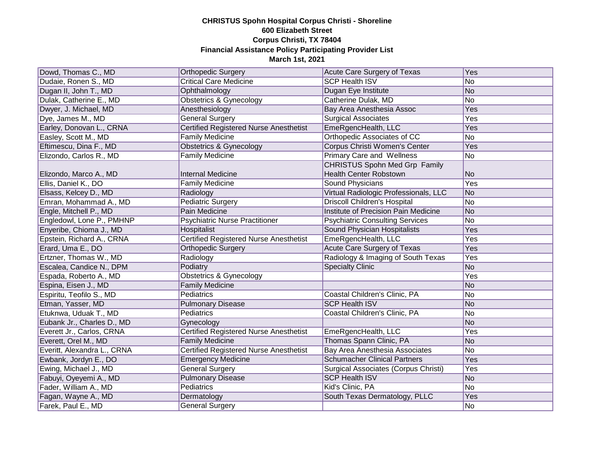| Dowd, Thomas C., MD         | <b>Orthopedic Surgery</b>                     | Acute Care Surgery of Texas            | Yes        |
|-----------------------------|-----------------------------------------------|----------------------------------------|------------|
| Dudaie, Ronen S., MD        | <b>Critical Care Medicine</b>                 | <b>SCP Health ISV</b>                  | No         |
| Dugan II, John T., MD       | Ophthalmology                                 | Dugan Eye Institute                    | No         |
| Dulak, Catherine E., MD     | <b>Obstetrics &amp; Gynecology</b>            | Catherine Dulak, MD                    | No         |
| Dwyer, J. Michael, MD       | Anesthesiology                                | Bay Area Anesthesia Assoc              | Yes        |
| Dye, James M., MD           | <b>General Surgery</b>                        | <b>Surgical Associates</b>             | <b>Yes</b> |
| Earley, Donovan L., CRNA    | <b>Certified Registered Nurse Anesthetist</b> | EmeRgencHealth, LLC                    | Yes        |
| Easley, Scott M., MD        | <b>Family Medicine</b>                        | Orthopedic Associates of CC            | No         |
| Eftimescu, Dina F., MD      | <b>Obstetrics &amp; Gynecology</b>            | Corpus Christi Women's Center          | Yes        |
| Elizondo, Carlos R., MD     | <b>Family Medicine</b>                        | <b>Primary Care and Wellness</b>       | No         |
|                             |                                               | <b>CHRISTUS Spohn Med Grp Family</b>   |            |
| Elizondo, Marco A., MD      | <b>Internal Medicine</b>                      | <b>Health Center Robstown</b>          | No         |
| Ellis, Daniel K., DO        | <b>Family Medicine</b>                        | Sound Physicians                       | Yes        |
| Elsass, Kelcey D., MD       | Radiology                                     | Virtual Radiologic Professionals, LLC  | No         |
| Emran, Mohammad A., MD      | Pediatric Surgery                             | <b>Driscoll Children's Hospital</b>    | No         |
| Engle, Mitchell P., MD      | Pain Medicine                                 | Institute of Precision Pain Medicine   | No         |
| Engledowl, Lone P., PMHNP   | <b>Psychiatric Nurse Practitioner</b>         | <b>Psychiatric Consulting Services</b> | No         |
| Enyeribe, Chioma J., MD     | Hospitalist                                   | Sound Physician Hospitalists           | Yes        |
| Epstein, Richard A., CRNA   | <b>Certified Registered Nurse Anesthetist</b> | EmeRgencHealth, LLC                    | Yes        |
| Erard, Uma E., DO           | <b>Orthopedic Surgery</b>                     | <b>Acute Care Surgery of Texas</b>     | Yes        |
| Ertzner, Thomas W., MD      | Radiology                                     | Radiology & Imaging of South Texas     | Yes        |
| Escalea, Candice N., DPM    | Podiatry                                      | <b>Specialty Clinic</b>                | No         |
| Espada, Roberto A., MD      | <b>Obstetrics &amp; Gynecology</b>            |                                        | Yes        |
| Espina, Eisen J., MD        | <b>Family Medicine</b>                        |                                        | No         |
| Espiritu, Teofilo S., MD    | Pediatrics                                    | Coastal Children's Clinic, PA          | No         |
| Etman, Yasser, MD           | <b>Pulmonary Disease</b>                      | <b>SCP Health ISV</b>                  | No         |
| Etuknwa, Uduak T., MD       | <b>Pediatrics</b>                             | Coastal Children's Clinic, PA          | No         |
| Eubank Jr., Charles D., MD  | Gynecology                                    |                                        | No         |
| Everett Jr., Carlos, CRNA   | Certified Registered Nurse Anesthetist        | EmeRgencHealth, LLC                    | Yes        |
| Everett, Orel M., MD        | <b>Family Medicine</b>                        | Thomas Spann Clinic, PA                | No         |
| Everitt, Alexandra L., CRNA | <b>Certified Registered Nurse Anesthetist</b> | <b>Bay Area Anesthesia Associates</b>  | No         |
| Ewbank, Jordyn E., DO       | <b>Emergency Medicine</b>                     | <b>Schumacher Clinical Partners</b>    | Yes        |
| Ewing, Michael J., MD       | <b>General Surgery</b>                        | Surgical Associates (Corpus Christi)   | Yes        |
| Fabuyi, Oyeyemi A., MD      | <b>Pulmonary Disease</b>                      | <b>SCP Health ISV</b>                  | No         |
| Fader, William A., MD       | <b>Pediatrics</b>                             | Kid's Clinic, PA                       | No         |
| Fagan, Wayne A., MD         | Dermatology                                   | South Texas Dermatology, PLLC          | Yes        |
| Farek, Paul E., MD          | General Surgery                               |                                        | No         |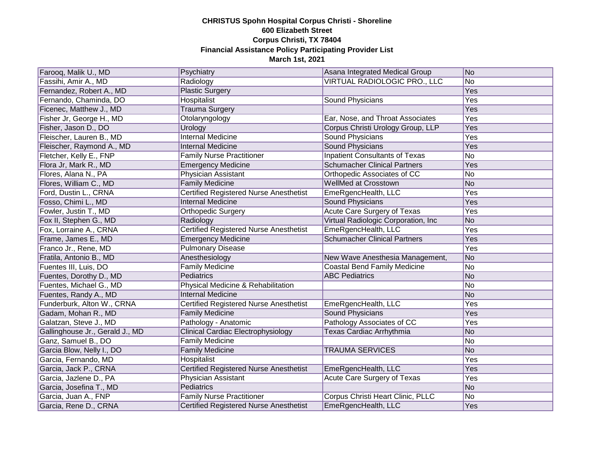| Farooq, Malik U., MD            | Psychiatry                                    | Asana Integrated Medical Group       | No  |
|---------------------------------|-----------------------------------------------|--------------------------------------|-----|
| Fassihi, Amir A., MD            | Radiology                                     | VIRTUAL RADIOLOGIC PRO., LLC         | No  |
| Fernandez, Robert A., MD        | <b>Plastic Surgery</b>                        |                                      | Yes |
| Fernando, Chaminda, DO          | Hospitalist                                   | Sound Physicians                     | Yes |
| Ficenec, Matthew J., MD         | <b>Trauma Surgery</b>                         |                                      | Yes |
| Fisher Jr, George H., MD        | Otolaryngology                                | Ear, Nose, and Throat Associates     | Yes |
| Fisher, Jason D., DO            | Urology                                       | Corpus Christi Urology Group, LLP    | Yes |
| Fleischer, Lauren B., MD        | <b>Internal Medicine</b>                      | <b>Sound Physicians</b>              | Yes |
| Fleischer, Raymond A., MD       | <b>Internal Medicine</b>                      | <b>Sound Physicians</b>              | Yes |
| Fletcher, Kelly E., FNP         | <b>Family Nurse Practitioner</b>              | Inpatient Consultants of Texas       | No  |
| Flora Jr, Mark R., MD           | <b>Emergency Medicine</b>                     | <b>Schumacher Clinical Partners</b>  | Yes |
| Flores, Alana N., PA            | Physician Assistant                           | Orthopedic Associates of CC          | No  |
| Flores, William C., MD          | <b>Family Medicine</b>                        | WellMed at Crosstown                 | No  |
| Ford, Dustin L., CRNA           | Certified Registered Nurse Anesthetist        | EmeRgencHealth, LLC                  | Yes |
| Fosso, Chimi L., MD             | <b>Internal Medicine</b>                      | Sound Physicians                     | Yes |
| Fowler, Justin T., MD           | Orthopedic Surgery                            | <b>Acute Care Surgery of Texas</b>   | Yes |
| Fox II, Stephen G., MD          | Radiology                                     | Virtual Radiologic Corporation, Inc. | No  |
| Fox, Lorraine A., CRNA          | Certified Registered Nurse Anesthetist        | EmeRgencHealth, LLC                  | Yes |
| Frame, James E., MD             | <b>Emergency Medicine</b>                     | <b>Schumacher Clinical Partners</b>  | Yes |
| Franco Jr., Rene, MD            | <b>Pulmonary Disease</b>                      |                                      | Yes |
| Fratila, Antonio B., MD         | Anesthesiology                                | New Wave Anesthesia Management,      | No  |
| Fuentes III, Luis, DO           | <b>Family Medicine</b>                        | <b>Coastal Bend Family Medicine</b>  | No  |
| Fuentes, Dorothy D., MD         | Pediatrics                                    | <b>ABC Pediatrics</b>                | No  |
| Fuentes, Michael G., MD         | Physical Medicine & Rehabilitation            |                                      | No  |
| Fuentes, Randy A., MD           | <b>Internal Medicine</b>                      |                                      | No  |
| Funderburk, Alton W., CRNA      | <b>Certified Registered Nurse Anesthetist</b> | EmeRgencHealth, LLC                  | Yes |
| Gadam, Mohan R., MD             | <b>Family Medicine</b>                        | <b>Sound Physicians</b>              | Yes |
| Galatzan, Steve J., MD          | Pathology - Anatomic                          | Pathology Associates of CC           | Yes |
| Gallinghouse Jr., Gerald J., MD | <b>Clinical Cardiac Electrophysiology</b>     | <b>Texas Cardiac Arrhythmia</b>      | No  |
| Ganz, Samuel B., DO             | <b>Family Medicine</b>                        |                                      | No  |
| Garcia Blow, Nelly I., DO       | <b>Family Medicine</b>                        | <b>TRAUMA SERVICES</b>               | No  |
| Garcia, Fernando, MD            | Hospitalist                                   |                                      | Yes |
| Garcia, Jack P., CRNA           | Certified Registered Nurse Anesthetist        | EmeRgencHealth, LLC                  | Yes |
| Garcia, Jazlene D., PA          | Physician Assistant                           | Acute Care Surgery of Texas          | Yes |
| Garcia, Josefina T., MD         | Pediatrics                                    |                                      | No  |
| Garcia, Juan A., FNP            | <b>Family Nurse Practitioner</b>              | Corpus Christi Heart Clinic, PLLC    | No  |
| Garcia, Rene D., CRNA           | Certified Registered Nurse Anesthetist        | EmeRgencHealth, LLC                  | Yes |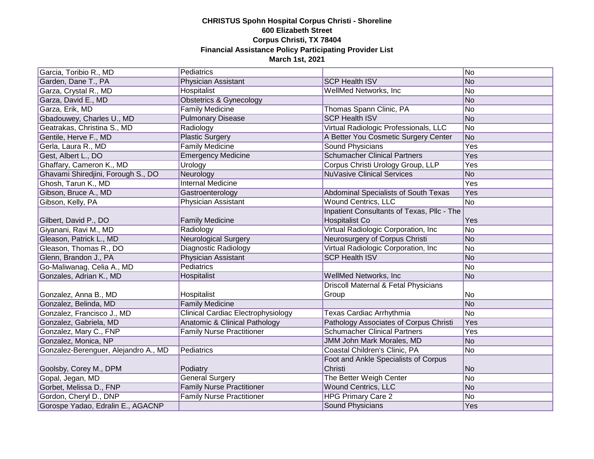| Garcia, Toribio R., MD               | Pediatrics                                |                                            | No         |
|--------------------------------------|-------------------------------------------|--------------------------------------------|------------|
| Garden, Dane T., PA                  | Physician Assistant                       | <b>SCP Health ISV</b>                      | No         |
| Garza, Crystal R., MD                | Hospitalist                               | WellMed Networks, Inc                      | No         |
| Garza, David E., MD                  | Obstetrics & Gynecology                   |                                            | No         |
| Garza, Erik, MD                      | <b>Family Medicine</b>                    | Thomas Spann Clinic, PA                    | No         |
| Gbadouwey, Charles U., MD            | <b>Pulmonary Disease</b>                  | <b>SCP Health ISV</b>                      | No         |
| Geatrakas, Christina S., MD          | Radiology                                 | Virtual Radiologic Professionals, LLC      | No         |
| Gentile, Herve F., MD                | <b>Plastic Surgery</b>                    | A Better You Cosmetic Surgery Center       | No         |
| Gerla, Laura R., MD                  | <b>Family Medicine</b>                    | <b>Sound Physicians</b>                    | <b>Yes</b> |
| Gest, Albert L., DO                  | <b>Emergency Medicine</b>                 | <b>Schumacher Clinical Partners</b>        | Yes        |
| Ghaffary, Cameron K., MD             | Urology                                   | Corpus Christi Urology Group, LLP          | <b>Yes</b> |
| Ghavami Shiredjini, Forough S., DO   | Neurology                                 | <b>NuVasive Clinical Services</b>          | No         |
| Ghosh, Tarun K., MD                  | <b>Internal Medicine</b>                  |                                            | Yes        |
| Gibson, Bruce A., MD                 | Gastroenterology                          | Abdominal Specialists of South Texas       | Yes        |
| Gibson, Kelly, PA                    | Physician Assistant                       | <b>Wound Centrics, LLC</b>                 | No         |
|                                      |                                           | Inpatient Consultants of Texas, Pllc - The |            |
| Gilbert, David P., DO                | <b>Family Medicine</b>                    | Hospitalist Co                             | Yes        |
| Giyanani, Ravi M., MD                | Radiology                                 | Virtual Radiologic Corporation, Inc.       | No         |
| Gleason, Patrick L., MD              | <b>Neurological Surgery</b>               | Neurosurgery of Corpus Christi             | No         |
| Gleason, Thomas R., DO               | Diagnostic Radiology                      | Virtual Radiologic Corporation, Inc.       | No         |
| Glenn, Brandon J., PA                | Physician Assistant                       | <b>SCP Health ISV</b>                      | No         |
| Go-Maliwanag, Celia A., MD           | <b>Pediatrics</b>                         |                                            | No         |
| Gonzales, Adrian K., MD              | Hospitalist                               | WellMed Networks, Inc                      | No         |
|                                      |                                           | Driscoll Maternal & Fetal Physicians       |            |
| Gonzalez, Anna B., MD                | Hospitalist                               | Group                                      | No         |
| Gonzalez, Belinda, MD                | <b>Family Medicine</b>                    |                                            | No         |
| Gonzalez, Francisco J., MD           | <b>Clinical Cardiac Electrophysiology</b> | Texas Cardiac Arrhythmia                   | No         |
| Gonzalez, Gabriela, MD               | Anatomic & Clinical Pathology             | Pathology Associates of Corpus Christi     | Yes        |
| Gonzalez, Mary C., FNP               | <b>Family Nurse Practitioner</b>          | <b>Schumacher Clinical Partners</b>        | Yes        |
| Gonzalez, Monica, NP                 |                                           | JMM John Mark Morales, MD                  | No         |
| Gonzalez-Berenguer, Alejandro A., MD | Pediatrics                                | Coastal Children's Clinic, PA              | No         |
|                                      |                                           | Foot and Ankle Specialists of Corpus       |            |
| Goolsby, Corey M., DPM               | Podiatry                                  | Christi                                    | No         |
| Gopal, Jegan, MD                     | <b>General Surgery</b>                    | The Better Weigh Center                    | No         |
| Gorbet, Melissa D., FNP              | <b>Family Nurse Practitioner</b>          | <b>Wound Centrics, LLC</b>                 | No         |
| Gordon, Cheryl D., DNP               | <b>Family Nurse Practitioner</b>          | <b>HPG Primary Care 2</b>                  | No         |
| Gorospe Yadao, Edralin E., AGACNP    |                                           | Sound Physicians                           | Yes        |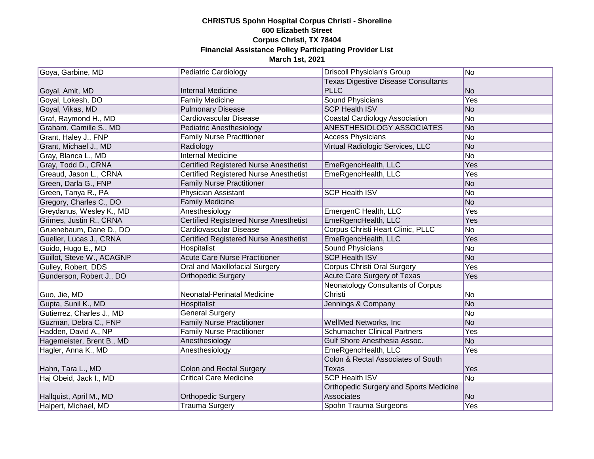| Goya, Garbine, MD         | <b>Pediatric Cardiology</b>                   | Driscoll Physician's Group                    | No         |
|---------------------------|-----------------------------------------------|-----------------------------------------------|------------|
|                           |                                               | <b>Texas Digestive Disease Consultants</b>    |            |
| Goyal, Amit, MD           | <b>Internal Medicine</b>                      | <b>PLLC</b>                                   | No         |
| Goyal, Lokesh, DO         | <b>Family Medicine</b>                        | <b>Sound Physicians</b>                       | <b>Yes</b> |
| Goyal, Vikas, MD          | <b>Pulmonary Disease</b>                      | <b>SCP Health ISV</b>                         | No         |
| Graf, Raymond H., MD      | Cardiovascular Disease                        | <b>Coastal Cardiology Association</b>         | No         |
| Graham, Camille S., MD    | Pediatric Anesthesiology                      | <b>ANESTHESIOLOGY ASSOCIATES</b>              | No         |
| Grant, Haley J., FNP      | <b>Family Nurse Practitioner</b>              | <b>Access Physicians</b>                      | No         |
| Grant, Michael J., MD     | Radiology                                     | <b>Virtual Radiologic Services, LLC</b>       | No         |
| Gray, Blanca L., MD       | <b>Internal Medicine</b>                      |                                               | No         |
| Gray, Todd D., CRNA       | Certified Registered Nurse Anesthetist        | EmeRgencHealth, LLC                           | Yes        |
| Greaud, Jason L., CRNA    | Certified Registered Nurse Anesthetist        | EmeRgencHealth, LLC                           | Yes        |
| Green, Darla G., FNP      | <b>Family Nurse Practitioner</b>              |                                               | No         |
| Green, Tanya R., PA       | Physician Assistant                           | <b>SCP Health ISV</b>                         | No         |
| Gregory, Charles C., DO   | <b>Family Medicine</b>                        |                                               | No         |
| Greydanus, Wesley K., MD  | Anesthesiology                                | EmergenC Health, LLC                          | Yes        |
| Grimes, Justin R., CRNA   | Certified Registered Nurse Anesthetist        | EmeRgencHealth, LLC                           | Yes        |
| Gruenebaum, Dane D., DO   | Cardiovascular Disease                        | Corpus Christi Heart Clinic, PLLC             | No         |
| Gueller, Lucas J., CRNA   | <b>Certified Registered Nurse Anesthetist</b> | EmeRgencHealth, LLC                           | Yes        |
| Guido, Hugo E., MD        | Hospitalist                                   | <b>Sound Physicians</b>                       | No         |
| Guillot, Steve W., ACAGNP | <b>Acute Care Nurse Practitioner</b>          | <b>SCP Health ISV</b>                         | No         |
| Gulley, Robert, DDS       | <b>Oral and Maxillofacial Surgery</b>         | <b>Corpus Christi Oral Surgery</b>            | Yes        |
| Gunderson, Robert J., DO  | <b>Orthopedic Surgery</b>                     | Acute Care Surgery of Texas                   | Yes        |
|                           |                                               | <b>Neonatology Consultants of Corpus</b>      |            |
| Guo, Jie, MD              | Neonatal-Perinatal Medicine                   | Christi                                       | No         |
| Gupta, Sunil K., MD       | Hospitalist                                   | Jennings & Company                            | No         |
| Gutierrez, Charles J., MD | <b>General Surgery</b>                        |                                               | No         |
| Guzman, Debra C., FNP     | <b>Family Nurse Practitioner</b>              | WellMed Networks, Inc                         | No         |
| Hadden, David A., NP      | <b>Family Nurse Practitioner</b>              | <b>Schumacher Clinical Partners</b>           | Yes        |
| Hagemeister, Brent B., MD | Anesthesiology                                | Gulf Shore Anesthesia Assoc.                  | No         |
| Hagler, Anna K., MD       | Anesthesiology                                | EmeRgencHealth, LLC                           | Yes        |
|                           |                                               | Colon & Rectal Associates of South            |            |
| Hahn, Tara L., MD         | Colon and Rectal Surgery                      | <b>Texas</b>                                  | Yes        |
| Haj Obeid, Jack I., MD    | <b>Critical Care Medicine</b>                 | <b>SCP Health ISV</b>                         | No         |
|                           |                                               | <b>Orthopedic Surgery and Sports Medicine</b> |            |
| Hallquist, April M., MD   | <b>Orthopedic Surgery</b>                     | Associates                                    | No         |
| Halpert, Michael, MD      | <b>Trauma Surgery</b>                         | Spohn Trauma Surgeons                         | <b>Yes</b> |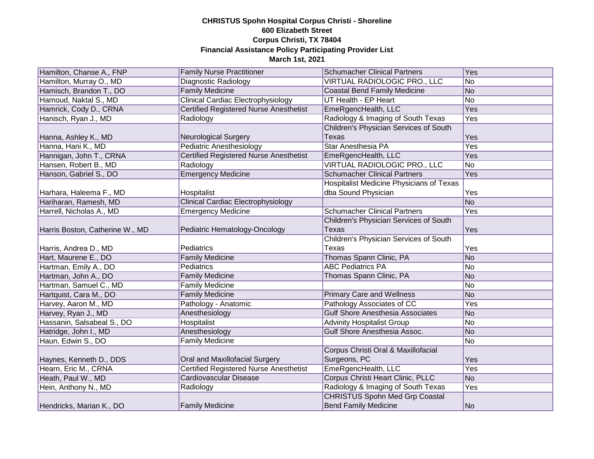| Hamilton, Chanse A., FNP        | <b>Family Nurse Practitioner</b>              | <b>Schumacher Clinical Partners</b>             | Yes            |
|---------------------------------|-----------------------------------------------|-------------------------------------------------|----------------|
| Hamilton, Murray O., MD         | Diagnostic Radiology                          | VIRTUAL RADIOLOGIC PRO., LLC                    | No             |
| Hamisch, Brandon T., DO         | <b>Family Medicine</b>                        | <b>Coastal Bend Family Medicine</b>             | No             |
| Hamoud, Naktal S., MD           | <b>Clinical Cardiac Electrophysiology</b>     | UT Health - EP Heart                            | N <sub>o</sub> |
| Hamrick, Cody D., CRNA          | <b>Certified Registered Nurse Anesthetist</b> | EmeRgencHealth, LLC                             | <b>Yes</b>     |
| Hanisch, Ryan J., MD            | Radiology                                     | Radiology & Imaging of South Texas              | <b>Yes</b>     |
|                                 |                                               | Children's Physician Services of South          |                |
| Hanna, Ashley K., MD            | <b>Neurological Surgery</b>                   | Texas                                           | Yes            |
| Hanna, Hani K., MD              | <b>Pediatric Anesthesiology</b>               | <b>Star Anesthesia PA</b>                       | <b>Yes</b>     |
| Hannigan, John T., CRNA         | <b>Certified Registered Nurse Anesthetist</b> | EmeRgencHealth, LLC                             | Yes            |
| Hansen, Robert B., MD           | Radiology                                     | VIRTUAL RADIOLOGIC PRO., LLC                    | No             |
| Hanson, Gabriel S., DO          | <b>Emergency Medicine</b>                     | <b>Schumacher Clinical Partners</b>             | Yes            |
|                                 |                                               | <b>Hospitalist Medicine Physicians of Texas</b> |                |
| Harhara, Haleema F., MD         | Hospitalist                                   | dba Sound Physician                             | Yes            |
| Hariharan, Ramesh, MD           | <b>Clinical Cardiac Electrophysiology</b>     |                                                 | N <sub>o</sub> |
| Harrell, Nicholas A., MD        | <b>Emergency Medicine</b>                     | <b>Schumacher Clinical Partners</b>             | Yes            |
|                                 |                                               | Children's Physician Services of South          |                |
| Harris Boston, Catherine W., MD | Pediatric Hematology-Oncology                 | Texas                                           | Yes            |
|                                 |                                               | Children's Physician Services of South          |                |
| Harris, Andrea D., MD           | Pediatrics                                    | Texas                                           | Yes            |
| Hart, Maurene E., DO            | <b>Family Medicine</b>                        | Thomas Spann Clinic, PA                         | No             |
| Hartman, Emily A., DO           | Pediatrics                                    | <b>ABC Pediatrics PA</b>                        | No             |
| Hartman, John A., DO            | <b>Family Medicine</b>                        | Thomas Spann Clinic, PA                         | No             |
| Hartman, Samuel C., MD          | <b>Family Medicine</b>                        |                                                 | No             |
| Hartquist, Cara M., DO          | <b>Family Medicine</b>                        | <b>Primary Care and Wellness</b>                | No             |
| Harvey, Aaron M., MD            | Pathology - Anatomic                          | Pathology Associates of CC                      | Yes            |
| Harvey, Ryan J., MD             | Anesthesiology                                | <b>Gulf Shore Anesthesia Associates</b>         | No             |
| Hassanin, Salsabeal S., DO      | Hospitalist                                   | <b>Advinity Hospitalist Group</b>               | No             |
| Hatridge, John I., MD           | Anesthesiology                                | Gulf Shore Anesthesia Assoc.                    | No             |
| Haun, Edwin S., DO              | <b>Family Medicine</b>                        |                                                 | No             |
|                                 |                                               | Corpus Christi Oral & Maxillofacial             |                |
| Haynes, Kenneth D., DDS         | Oral and Maxillofacial Surgery                | Surgeons, PC                                    | Yes            |
| Hearn, Eric M., CRNA            | <b>Certified Registered Nurse Anesthetist</b> | EmeRgencHealth, LLC                             | Yes            |
| Heath, Paul W., MD              | <b>Cardiovascular Disease</b>                 | Corpus Christi Heart Clinic, PLLC               | N <sub>o</sub> |
| Hein, Anthony N., MD            | Radiology                                     | Radiology & Imaging of South Texas              | Yes            |
|                                 |                                               | <b>CHRISTUS Spohn Med Grp Coastal</b>           |                |
| Hendricks, Marian K., DO        | <b>Family Medicine</b>                        | <b>Bend Family Medicine</b>                     | No             |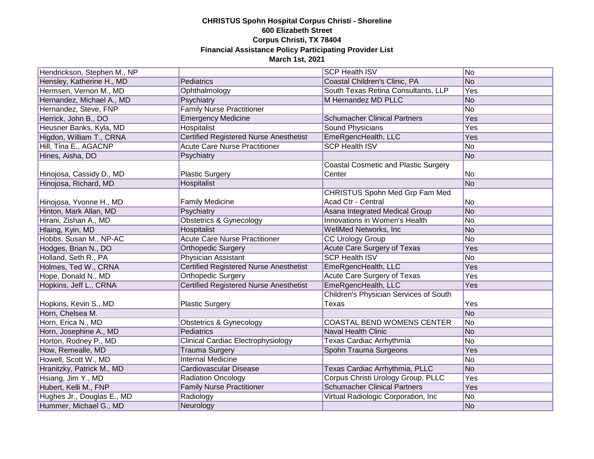| Hendrickson, Stephen M., NP |                                               | <b>SCP Health ISV</b>                       | No             |
|-----------------------------|-----------------------------------------------|---------------------------------------------|----------------|
| Hensley, Katherine H., MD   | Pediatrics                                    | Coastal Children's Clinic, PA               | No             |
| Hermsen, Vernon M., MD      | Ophthalmology                                 | South Texas Retina Consultants, LLP         | Yes            |
| Hernandez, Michael A., MD   | Psychiatry                                    | M Hernandez MD PLLC                         | No             |
| Hernandez, Steve, FNP       | <b>Family Nurse Practitioner</b>              |                                             | N <sub>o</sub> |
| Herrick, John B., DO        | <b>Emergency Medicine</b>                     | <b>Schumacher Clinical Partners</b>         | <b>Yes</b>     |
| Heusner Banks, Kyla, MD     | Hospitalist                                   | <b>Sound Physicians</b>                     | Yes            |
| Higdon, William T., CRNA    | <b>Certified Registered Nurse Anesthetist</b> | EmeRgencHealth, LLC                         | Yes            |
| Hill, Tina E., AGACNP       | <b>Acute Care Nurse Practitioner</b>          | <b>SCP Health ISV</b>                       | No             |
| Hines, Aisha, DO            | Psychiatry                                    |                                             | No             |
|                             |                                               | <b>Coastal Cosmetic and Plastic Surgery</b> |                |
| Hinojosa, Cassidy D., MD    | <b>Plastic Surgery</b>                        | Center                                      | No             |
| Hinojosa, Richard, MD       | Hospitalist                                   |                                             | No             |
|                             |                                               | CHRISTUS Spohn Med Grp Fam Med              |                |
| Hinojosa, Yvonne H., MD     | <b>Family Medicine</b>                        | Acad Ctr - Central                          | No             |
| Hinton, Mark Allan, MD      | Psychiatry                                    | Asana Integrated Medical Group              | No             |
| Hirani, Zishan A., MD       | <b>Obstetrics &amp; Gynecology</b>            | Innovations in Women's Health               | No             |
| Hlaing, Kyin, MD            | <b>Hospitalist</b>                            | WellMed Networks, Inc                       | No             |
| Hobbs, Susan M., NP-AC      | <b>Acute Care Nurse Practitioner</b>          | <b>CC Urology Group</b>                     | No             |
| Hodges, Brian N., DO        | <b>Orthopedic Surgery</b>                     | <b>Acute Care Surgery of Texas</b>          | Yes            |
| Holland, Seth R., PA        | Physician Assistant                           | <b>SCP Health ISV</b>                       | No             |
| Holmes, Ted W., CRNA        | <b>Certified Registered Nurse Anesthetist</b> | EmeRgencHealth, LLC                         | Yes            |
| Hope, Donald N., MD         | <b>Orthopedic Surgery</b>                     | Acute Care Surgery of Texas                 | Yes            |
| Hopkins, Jeff L., CRNA      | <b>Certified Registered Nurse Anesthetist</b> | EmeRgencHealth, LLC                         | Yes            |
|                             |                                               | Children's Physician Services of South      |                |
| Hopkins, Kevin S., MD       | <b>Plastic Surgery</b>                        | Texas                                       | Yes            |
| Horn, Chelsea M.            |                                               |                                             | No             |
| Horn, Erica N., MD          | <b>Obstetrics &amp; Gynecology</b>            | <b>COASTAL BEND WOMENS CENTER</b>           | No             |
| Horn, Josephine A., MD      | Pediatrics                                    | <b>Naval Health Clinic</b>                  | No             |
| Horton, Rodney P., MD       | <b>Clinical Cardiac Electrophysiology</b>     | Texas Cardiac Arrhythmia                    | No             |
| How, Remealle, MD           | <b>Trauma Surgery</b>                         | Spohn Trauma Surgeons                       | Yes            |
| Howell, Scott W., MD        | <b>Internal Medicine</b>                      |                                             | No             |
| Hranitzky, Patrick M., MD   | Cardiovascular Disease                        | Texas Cardiac Arrhythmia, PLLC              | No             |
| Hsiang, Jim Y., MD          | <b>Radiation Oncology</b>                     | Corpus Christi Urology Group, PLLC          | Yes            |
| Hubert, Kelli M., FNP       | <b>Family Nurse Practitioner</b>              | <b>Schumacher Clinical Partners</b>         | Yes            |
| Hughes Jr., Douglas E., MD  | Radiology                                     | Virtual Radiologic Corporation, Inc         | No             |
| Hummer, Michael G., MD      | Neurology                                     |                                             | No             |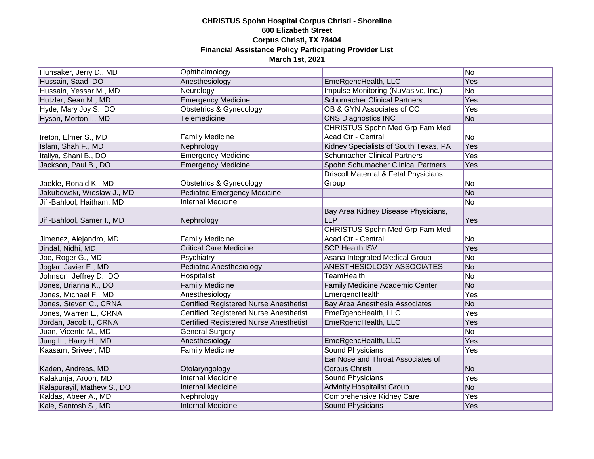| Hunsaker, Jerry D., MD     | Ophthalmology                                 |                                       | No             |
|----------------------------|-----------------------------------------------|---------------------------------------|----------------|
| Hussain, Saad, DO          | Anesthesiology                                | EmeRgencHealth, LLC                   | Yes            |
| Hussain, Yessar M., MD     | Neurology                                     | Impulse Monitoring (NuVasive, Inc.)   | No             |
| Hutzler, Sean M., MD       | <b>Emergency Medicine</b>                     | <b>Schumacher Clinical Partners</b>   | Yes            |
| Hyde, Mary Joy S., DO      | <b>Obstetrics &amp; Gynecology</b>            | OB & GYN Associates of CC             | Yes            |
| Hyson, Morton I., MD       | Telemedicine                                  | <b>CNS Diagnostics INC</b>            | No             |
|                            |                                               | CHRISTUS Spohn Med Grp Fam Med        |                |
| Ireton, Elmer S., MD       | <b>Family Medicine</b>                        | Acad Ctr - Central                    | No             |
| Islam, Shah F., MD         | Nephrology                                    | Kidney Specialists of South Texas, PA | <b>Yes</b>     |
| Italiya, Shani B., DO      | <b>Emergency Medicine</b>                     | <b>Schumacher Clinical Partners</b>   | <b>Yes</b>     |
| Jackson, Paul B., DO       | <b>Emergency Medicine</b>                     | Spohn Schumacher Clinical Partners    | Yes            |
|                            |                                               | Driscoll Maternal & Fetal Physicians  |                |
| Jaekle, Ronald K., MD      | <b>Obstetrics &amp; Gynecology</b>            | Group                                 | No             |
| Jakubowski, Wieslaw J., MD | Pediatric Emergency Medicine                  |                                       | No             |
| Jifi-Bahlool, Haitham, MD  | <b>Internal Medicine</b>                      |                                       | No             |
|                            |                                               | Bay Area Kidney Disease Physicians,   |                |
| Jifi-Bahlool, Samer I., MD | Nephrology                                    | <b>LLP</b>                            | Yes            |
|                            |                                               | CHRISTUS Spohn Med Grp Fam Med        |                |
| Jimenez, Alejandro, MD     | <b>Family Medicine</b>                        | Acad Ctr - Central                    | No             |
| Jindal, Nidhi, MD          | <b>Critical Care Medicine</b>                 | <b>SCP Health ISV</b>                 | Yes            |
| Joe, Roger G., MD          | Psychiatry                                    | Asana Integrated Medical Group        | No             |
| Joglar, Javier E., MD      | <b>Pediatric Anesthesiology</b>               | ANESTHESIOLOGY ASSOCIATES             | No             |
| Johnson, Jeffrey D., DO    | Hospitalist                                   | <b>TeamHealth</b>                     | No             |
| Jones, Brianna K., DO      | <b>Family Medicine</b>                        | Family Medicine Academic Center       | No             |
| Jones, Michael F., MD      | Anesthesiology                                | EmergencHealth                        | Yes            |
| Jones, Steven C., CRNA     | <b>Certified Registered Nurse Anesthetist</b> | Bay Area Anesthesia Associates        | N <sub>o</sub> |
| Jones, Warren L., CRNA     | <b>Certified Registered Nurse Anesthetist</b> | EmeRgencHealth, LLC                   | Yes            |
| Jordan, Jacob I., CRNA     | <b>Certified Registered Nurse Anesthetist</b> | EmeRgencHealth, LLC                   | Yes            |
| Juan, Vicente M., MD       | <b>General Surgery</b>                        |                                       | No             |
| Jung III, Harry H., MD     | Anesthesiology                                | EmeRgencHealth, LLC                   | Yes            |
| Kaasam, Sriveer, MD        | <b>Family Medicine</b>                        | <b>Sound Physicians</b>               | Yes            |
|                            |                                               | Ear Nose and Throat Associates of     |                |
| Kaden, Andreas, MD         | Otolaryngology                                | Corpus Christi                        | N <sub>o</sub> |
| Kalakunja, Aroon, MD       | <b>Internal Medicine</b>                      | <b>Sound Physicians</b>               | Yes            |
| Kalapurayil, Mathew S., DO | <b>Internal Medicine</b>                      | <b>Advinity Hospitalist Group</b>     | No             |
| Kaldas, Abeer A., MD       | Nephrology                                    | <b>Comprehensive Kidney Care</b>      | Yes            |
| Kale, Santosh S., MD       | <b>Internal Medicine</b>                      | <b>Sound Physicians</b>               | Yes            |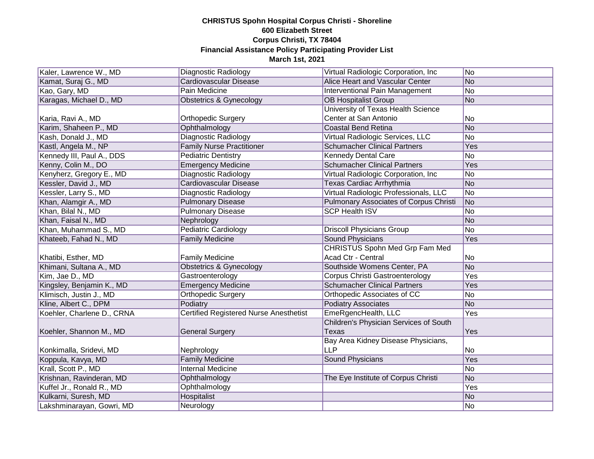| Kaler, Lawrence W., MD     | Diagnostic Radiology                          | Virtual Radiologic Corporation, Inc.   | No  |
|----------------------------|-----------------------------------------------|----------------------------------------|-----|
| Kamat, Suraj G., MD        | Cardiovascular Disease                        | Alice Heart and Vascular Center        | No  |
| Kao, Gary, MD              | <b>Pain Medicine</b>                          | Interventional Pain Management         | No  |
| Karagas, Michael D., MD    | <b>Obstetrics &amp; Gynecology</b>            | <b>OB Hospitalist Group</b>            | No  |
|                            |                                               | University of Texas Health Science     |     |
| Karia, Ravi A., MD         | <b>Orthopedic Surgery</b>                     | Center at San Antonio                  | No  |
| Karim, Shaheen P., MD      | Ophthalmology                                 | <b>Coastal Bend Retina</b>             | No  |
| Kash, Donald J., MD        | Diagnostic Radiology                          | Virtual Radiologic Services, LLC       | No  |
| Kastl, Angela M., NP       | <b>Family Nurse Practitioner</b>              | <b>Schumacher Clinical Partners</b>    | Yes |
| Kennedy III, Paul A., DDS  | <b>Pediatric Dentistry</b>                    | <b>Kennedy Dental Care</b>             | No  |
| Kenny, Colin M., DO        | <b>Emergency Medicine</b>                     | <b>Schumacher Clinical Partners</b>    | Yes |
| Kenyherz, Gregory E., MD   | Diagnostic Radiology                          | Virtual Radiologic Corporation, Inc.   | No  |
| Kessler, David J., MD      | Cardiovascular Disease                        | Texas Cardiac Arrhythmia               | No  |
| Kessler, Larry S., MD      | Diagnostic Radiology                          | Virtual Radiologic Professionals, LLC  | No  |
| Khan, Alamgir A., MD       | <b>Pulmonary Disease</b>                      | Pulmonary Associates of Corpus Christi | No  |
| Khan, Bilal N., MD         | <b>Pulmonary Disease</b>                      | <b>SCP Health ISV</b>                  | No  |
| Khan, Faisal N., MD        | Nephrology                                    |                                        | No  |
| Khan, Muhammad S., MD      | <b>Pediatric Cardiology</b>                   | <b>Driscoll Physicians Group</b>       | No  |
| Khateeb, Fahad N., MD      | <b>Family Medicine</b>                        | <b>Sound Physicians</b>                | Yes |
|                            |                                               | <b>CHRISTUS Spohn Med Grp Fam Med</b>  |     |
| Khatibi, Esther, MD        | <b>Family Medicine</b>                        | Acad Ctr - Central                     | No  |
| Khimani, Sultana A., MD    | Obstetrics & Gynecology                       | Southside Womens Center, PA            | No  |
| Kim, Jae D., MD            | Gastroenterology                              | <b>Corpus Christi Gastroenterology</b> | Yes |
| Kingsley, Benjamin K., MD  | <b>Emergency Medicine</b>                     | <b>Schumacher Clinical Partners</b>    | Yes |
| Klimisch, Justin J., MD    | <b>Orthopedic Surgery</b>                     | Orthopedic Associates of CC            | No  |
| Kline, Albert C., DPM      | Podiatry                                      | <b>Podiatry Associates</b>             | No  |
| Koehler, Charlene D., CRNA | <b>Certified Registered Nurse Anesthetist</b> | EmeRgencHealth, LLC                    | Yes |
|                            |                                               | Children's Physician Services of South |     |
| Koehler, Shannon M., MD    | <b>General Surgery</b>                        | <b>Texas</b>                           | Yes |
|                            |                                               | Bay Area Kidney Disease Physicians,    |     |
| Konkimalla, Sridevi, MD    | Nephrology                                    | <b>LLP</b>                             | No  |
| Koppula, Kavya, MD         | <b>Family Medicine</b>                        | <b>Sound Physicians</b>                | Yes |
| Krall, Scott P., MD        | <b>Internal Medicine</b>                      |                                        | No  |
| Krishnan, Ravinderan, MD   | Ophthalmology                                 | The Eye Institute of Corpus Christi    | No  |
| Kuffel Jr., Ronald R., MD  | Ophthalmology                                 |                                        | Yes |
| Kulkarni, Suresh, MD       | Hospitalist                                   |                                        | No  |
| Lakshminarayan, Gowri, MD  | Neurology                                     |                                        | No  |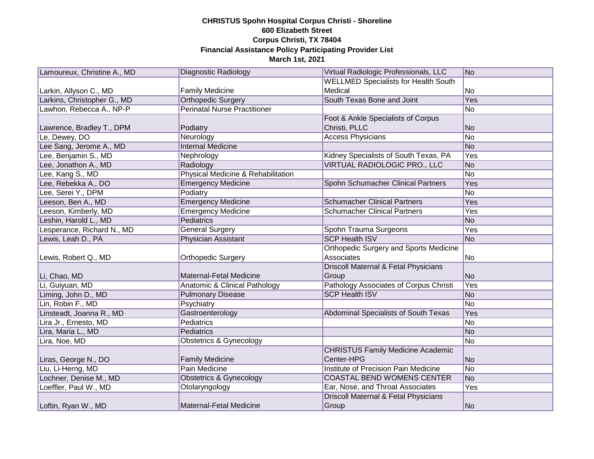| Lamoureux, Christine A., MD | Diagnostic Radiology                     | Virtual Radiologic Professionals, LLC           | No         |
|-----------------------------|------------------------------------------|-------------------------------------------------|------------|
|                             |                                          | <b>WELLMED Specialists for Health South</b>     |            |
| Larkin, Allyson C., MD      | <b>Family Medicine</b>                   | Medical                                         | No         |
| Larkins, Christopher G., MD | <b>Orthopedic Surgery</b>                | South Texas Bone and Joint                      | Yes        |
| Lawhon, Rebecca A., NP-P    | <b>Perinatal Nurse Practitioner</b>      |                                                 | No         |
|                             |                                          | Foot & Ankle Specialists of Corpus              |            |
| Lawrence, Bradley T., DPM   | Podiatry                                 | Christi, PLLC                                   | No         |
| Le, Dewey, DO               | Neurology                                | <b>Access Physicians</b>                        | No         |
| Lee Sang, Jerome A., MD     | <b>Internal Medicine</b>                 |                                                 | No         |
| Lee, Benjamin S., MD        | Nephrology                               | Kidney Specialists of South Texas, PA           | <b>Yes</b> |
| Lee, Jonathon A., MD        | Radiology                                | VIRTUAL RADIOLOGIC PRO., LLC                    | No         |
| Lee, Kang S., MD            | Physical Medicine & Rehabilitation       |                                                 | No         |
| Lee, Rebekka A., DO         | <b>Emergency Medicine</b>                | Spohn Schumacher Clinical Partners              | Yes        |
| Lee, Serei Y., DPM          | Podiatry                                 |                                                 | No         |
| Leeson, Ben A., MD          | <b>Emergency Medicine</b>                | <b>Schumacher Clinical Partners</b>             | Yes        |
| Leeson, Kimberly, MD        | <b>Emergency Medicine</b>                | <b>Schumacher Clinical Partners</b>             | Yes        |
| Leshin, Harold L., MD       | Pediatrics                               |                                                 | No         |
| Lesperance, Richard N., MD  | <b>General Surgery</b>                   | Spohn Trauma Surgeons                           | Yes        |
| Lewis, Leah D., PA          | <b>Physician Assistant</b>               | <b>SCP Health ISV</b>                           | No         |
|                             |                                          | <b>Orthopedic Surgery and Sports Medicine</b>   |            |
| Lewis, Robert Q., MD        | <b>Orthopedic Surgery</b>                | Associates                                      | No         |
|                             |                                          | <b>Driscoll Maternal &amp; Fetal Physicians</b> |            |
| Li, Chao, MD                | Maternal-Fetal Medicine                  | Group                                           | No         |
| Li, Guiyuan, MD             | <b>Anatomic &amp; Clinical Pathology</b> | Pathology Associates of Corpus Christi          | Yes        |
| Liming, John D., MD         | <b>Pulmonary Disease</b>                 | <b>SCP Health ISV</b>                           | No         |
| Lin, Robin F., MD           | Psychiatry                               |                                                 | No         |
| Linsteadt, Joanna R., MD    | Gastroenterology                         | Abdominal Specialists of South Texas            | Yes        |
| Lira Jr., Ernesto, MD       | <b>Pediatrics</b>                        |                                                 | No         |
| Lira, Maria L., MD          | Pediatrics                               |                                                 | No         |
| Lira, Noe, MD               | <b>Obstetrics &amp; Gynecology</b>       |                                                 | No         |
|                             |                                          | <b>CHRISTUS Family Medicine Academic</b>        |            |
| Liras, George N., DO        | <b>Family Medicine</b>                   | Center-HPG                                      | No         |
| Liu, Li-Herng, MD           | Pain Medicine                            | Institute of Precision Pain Medicine            | No         |
| Lochner, Denise M., MD      | <b>Obstetrics &amp; Gynecology</b>       | <b>COASTAL BEND WOMENS CENTER</b>               | No         |
| Loeffler, Paul W., MD       | Otolaryngology                           | Ear, Nose, and Throat Associates                | Yes        |
|                             |                                          | Driscoll Maternal & Fetal Physicians            |            |
| Loftin, Ryan W., MD         | <b>Maternal-Fetal Medicine</b>           | Group                                           | No         |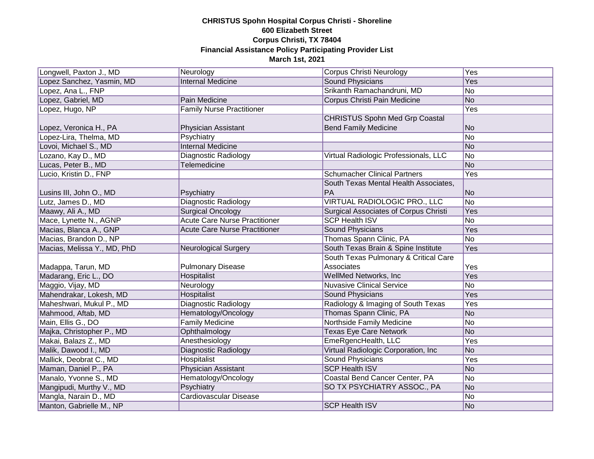| Longwell, Paxton J., MD     | Neurology                            | Corpus Christi Neurology                     | Yes        |
|-----------------------------|--------------------------------------|----------------------------------------------|------------|
| Lopez Sanchez, Yasmin, MD   | <b>Internal Medicine</b>             | <b>Sound Physicians</b>                      | Yes        |
| Lopez, Ana L., FNP          |                                      | Srikanth Ramachandruni, MD                   | No         |
| Lopez, Gabriel, MD          | Pain Medicine                        | Corpus Christi Pain Medicine                 | No         |
| Lopez, Hugo, NP             | <b>Family Nurse Practitioner</b>     |                                              | <b>Yes</b> |
|                             |                                      | <b>CHRISTUS Spohn Med Grp Coastal</b>        |            |
| Lopez, Veronica H., PA      | Physician Assistant                  | <b>Bend Family Medicine</b>                  | No         |
| Lopez-Lira, Thelma, MD      | Psychiatry                           |                                              | No         |
| Lovoi, Michael S., MD       | <b>Internal Medicine</b>             |                                              | No         |
| Lozano, Kay D., MD          | Diagnostic Radiology                 | Virtual Radiologic Professionals, LLC        | No         |
| Lucas, Peter B., MD         | <b>Telemedicine</b>                  |                                              | No         |
| Lucio, Kristin D., FNP      |                                      | <b>Schumacher Clinical Partners</b>          | Yes        |
|                             |                                      | South Texas Mental Health Associates,        |            |
| Lusins III, John O., MD     | Psychiatry                           | <b>PA</b>                                    | No         |
| Lutz, James D., MD          | <b>Diagnostic Radiology</b>          | VIRTUAL RADIOLOGIC PRO., LLC                 | No         |
| Maawy, Ali A., MD           | <b>Surgical Oncology</b>             | <b>Surgical Associates of Corpus Christi</b> | Yes        |
| Mace, Lynette N., AGNP      | <b>Acute Care Nurse Practitioner</b> | <b>SCP Health ISV</b>                        | No         |
| Macias, Blanca A., GNP      | <b>Acute Care Nurse Practitioner</b> | <b>Sound Physicians</b>                      | Yes        |
| Macias, Brandon D., NP      |                                      | Thomas Spann Clinic, PA                      | No         |
| Macias, Melissa Y., MD, PhD | <b>Neurological Surgery</b>          | South Texas Brain & Spine Institute          | Yes        |
|                             |                                      | South Texas Pulmonary & Critical Care        |            |
| Madappa, Tarun, MD          | <b>Pulmonary Disease</b>             | Associates                                   | Yes        |
| Madarang, Eric L., DO       | Hospitalist                          | WellMed Networks, Inc.                       | Yes        |
| Maggio, Vijay, MD           | Neurology                            | <b>Nuvasive Clinical Service</b>             | No         |
| Mahendrakar, Lokesh, MD     | Hospitalist                          | <b>Sound Physicians</b>                      | Yes        |
| Maheshwari, Mukul P., MD    | <b>Diagnostic Radiology</b>          | Radiology & Imaging of South Texas           | Yes        |
| Mahmood, Aftab, MD          | Hematology/Oncology                  | Thomas Spann Clinic, PA                      | No         |
| Main, Ellis G., DO          | <b>Family Medicine</b>               | Northside Family Medicine                    | No         |
| Majka, Christopher P., MD   | Ophthalmology                        | <b>Texas Eye Care Network</b>                | No         |
| Makai, Balazs Z., MD        | Anesthesiology                       | EmeRgencHealth, LLC                          | Yes        |
| Malik, Dawood I., MD        | Diagnostic Radiology                 | Virtual Radiologic Corporation, Inc.         | No         |
| Mallick, Deobrat C., MD     | Hospitalist                          | <b>Sound Physicians</b>                      | Yes        |
| Maman, Daniel P., PA        | Physician Assistant                  | <b>SCP Health ISV</b>                        | No         |
| Manalo, Yvonne S., MD       | Hematology/Oncology                  | Coastal Bend Cancer Center, PA               | No         |
| Mangipudi, Murthy V., MD    | Psychiatry                           | SO TX PSYCHIATRY ASSOC., PA                  | No         |
| Mangla, Narain D., MD       | Cardiovascular Disease               |                                              | No         |
| Manton, Gabrielle M., NP    |                                      | <b>SCP Health ISV</b>                        | No         |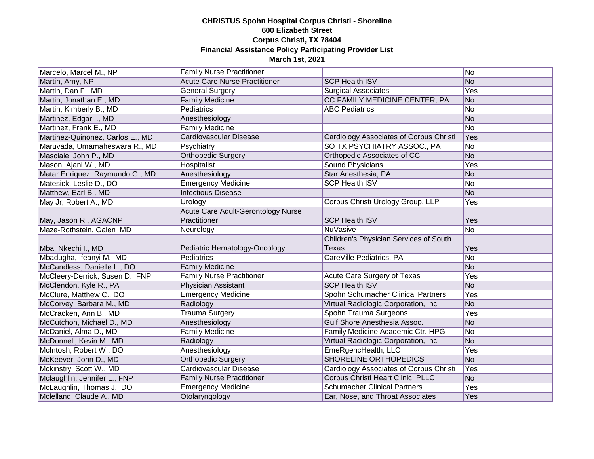| Marcelo, Marcel M., NP           | <b>Family Nurse Practitioner</b>     |                                                | No             |
|----------------------------------|--------------------------------------|------------------------------------------------|----------------|
| Martin, Amy, NP                  | <b>Acute Care Nurse Practitioner</b> | <b>SCP Health ISV</b>                          | No             |
| Martin, Dan F., MD               | General Surgery                      | <b>Surgical Associates</b>                     | Yes            |
| Martin, Jonathan E., MD          | <b>Family Medicine</b>               | CC FAMILY MEDICINE CENTER, PA                  | No             |
| Martin, Kimberly B., MD          | Pediatrics                           | <b>ABC Pediatrics</b>                          | No             |
| Martinez, Edgar I., MD           | Anesthesiology                       |                                                | No             |
| Martinez, Frank E., MD           | <b>Family Medicine</b>               |                                                | N <sub>o</sub> |
| Martinez-Quinonez, Carlos E., MD | <b>Cardiovascular Disease</b>        | <b>Cardiology Associates of Corpus Christi</b> | Yes            |
| Maruvada, Umamaheswara R., MD    | Psychiatry                           | SO TX PSYCHIATRY ASSOC., PA                    | No             |
| Masciale, John P., MD            | Orthopedic Surgery                   | Orthopedic Associates of CC                    | No             |
| Mason, Ajani W., MD              | Hospitalist                          | <b>Sound Physicians</b>                        | Yes            |
| Matar Enriquez, Raymundo G., MD  | Anesthesiology                       | Star Anesthesia, PA                            | No             |
| Matesick, Leslie D., DO          | <b>Emergency Medicine</b>            | <b>SCP Health ISV</b>                          | No             |
| Matthew, Earl B., MD             | <b>Infectious Disease</b>            |                                                | No             |
| May Jr, Robert A., MD            | Urology                              | Corpus Christi Urology Group, LLP              | Yes            |
|                                  | Acute Care Adult-Gerontology Nurse   |                                                |                |
| May, Jason R., AGACNP            | Practitioner                         | <b>SCP Health ISV</b>                          | Yes            |
| Maze-Rothstein, Galen MD         | Neurology                            | <b>NuVasive</b>                                | No             |
|                                  |                                      |                                                |                |
|                                  |                                      | Children's Physician Services of South         |                |
| Mba, Nkechi I., MD               | Pediatric Hematology-Oncology        | <b>Texas</b>                                   | Yes            |
| Mbadugha, Ifeanyi M., MD         | <b>Pediatrics</b>                    | CareVille Pediatrics, PA                       | No             |
| McCandless, Danielle L., DO      | <b>Family Medicine</b>               |                                                | No             |
| McCleery-Derrick, Susen D., FNP  | <b>Family Nurse Practitioner</b>     | Acute Care Surgery of Texas                    | Yes            |
| McClendon, Kyle R., PA           | <b>Physician Assistant</b>           | <b>SCP Health ISV</b>                          | No             |
| McClure, Matthew C., DO          | <b>Emergency Medicine</b>            | Spohn Schumacher Clinical Partners             | Yes            |
| McCorvey, Barbara M., MD         | Radiology                            | Virtual Radiologic Corporation, Inc.           | No             |
| McCracken, Ann B., MD            | <b>Trauma Surgery</b>                | Spohn Trauma Surgeons                          | Yes            |
| McCutchon, Michael D., MD        | Anesthesiology                       | Gulf Shore Anesthesia Assoc.                   | No             |
| McDaniel, Alma D., MD            | <b>Family Medicine</b>               | Family Medicine Academic Ctr. HPG              | No             |
| McDonnell, Kevin M., MD          | Radiology                            | Virtual Radiologic Corporation, Inc            | No             |
| McIntosh, Robert W., DO          | Anesthesiology                       | EmeRgencHealth, LLC                            | Yes            |
| McKeever, John D., MD            | Orthopedic Surgery                   | <b>SHORELINE ORTHOPEDICS</b>                   | No             |
| Mckinstry, Scott W., MD          | Cardiovascular Disease               | Cardiology Associates of Corpus Christi        | Yes            |
| Mclaughlin, Jennifer L., FNP     | <b>Family Nurse Practitioner</b>     | Corpus Christi Heart Clinic, PLLC              | No             |
| McLaughlin, Thomas J., DO        | <b>Emergency Medicine</b>            | <b>Schumacher Clinical Partners</b>            | Yes            |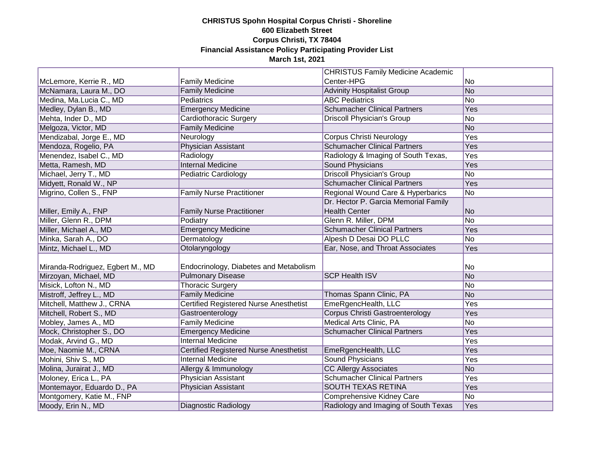|                                  |                                               | <b>CHRISTUS Family Medicine Academic</b> |     |
|----------------------------------|-----------------------------------------------|------------------------------------------|-----|
| McLemore, Kerrie R., MD          | <b>Family Medicine</b>                        | Center-HPG                               | No  |
| McNamara, Laura M., DO           | <b>Family Medicine</b>                        | <b>Advinity Hospitalist Group</b>        | No  |
| Medina, Ma.Lucia C., MD          | Pediatrics                                    | <b>ABC Pediatrics</b>                    | No  |
| Medley, Dylan B., MD             | <b>Emergency Medicine</b>                     | <b>Schumacher Clinical Partners</b>      | Yes |
| Mehta, Inder D., MD              | Cardiothoracic Surgery                        | <b>Driscoll Physician's Group</b>        | No  |
| Melgoza, Victor, MD              | <b>Family Medicine</b>                        |                                          | No  |
| Mendizabal, Jorge E., MD         | Neurology                                     | <b>Corpus Christi Neurology</b>          | Yes |
| Mendoza, Rogelio, PA             | <b>Physician Assistant</b>                    | <b>Schumacher Clinical Partners</b>      | Yes |
| Menendez, Isabel C., MD          | Radiology                                     | Radiology & Imaging of South Texas,      | Yes |
| Metta, Ramesh, MD                | <b>Internal Medicine</b>                      | <b>Sound Physicians</b>                  | Yes |
| Michael, Jerry T., MD            | Pediatric Cardiology                          | <b>Driscoll Physician's Group</b>        | No  |
| Midyett, Ronald W., NP           |                                               | <b>Schumacher Clinical Partners</b>      | Yes |
| Migrino, Collen S., FNP          | <b>Family Nurse Practitioner</b>              | Regional Wound Care & Hyperbarics        | No  |
|                                  |                                               | Dr. Hector P. Garcia Memorial Family     |     |
| Miller, Emily A., FNP            | <b>Family Nurse Practitioner</b>              | <b>Health Center</b>                     | No  |
| Miller, Glenn R., DPM            | Podiatry                                      | Glenn R. Miller, DPM                     | No  |
| Miller, Michael A., MD           | <b>Emergency Medicine</b>                     | <b>Schumacher Clinical Partners</b>      | Yes |
| Minka, Sarah A., DO              | Dermatology                                   | Alpesh D Desai DO PLLC                   | No  |
| Mintz, Michael L., MD            | Otolaryngology                                | Ear, Nose, and Throat Associates         | Yes |
|                                  |                                               |                                          |     |
| Miranda-Rodriguez, Egbert M., MD | Endocrinology, Diabetes and Metabolism        |                                          | No  |
| Mirzoyan, Michael, MD            | <b>Pulmonary Disease</b>                      | <b>SCP Health ISV</b>                    | No  |
| Misick, Lofton N., MD            | <b>Thoracic Surgery</b>                       |                                          | No  |
| Mistroff, Jeffrey L., MD         | <b>Family Medicine</b>                        | Thomas Spann Clinic, PA                  | No  |
| Mitchell, Matthew J., CRNA       | Certified Registered Nurse Anesthetist        | EmeRgencHealth, LLC                      | Yes |
| Mitchell, Robert S., MD          | Gastroenterology                              | <b>Corpus Christi Gastroenterology</b>   | Yes |
| Mobley, James A., MD             | <b>Family Medicine</b>                        | Medical Arts Clinic, PA                  | No  |
| Mock, Christopher S., DO         | <b>Emergency Medicine</b>                     | <b>Schumacher Clinical Partners</b>      | Yes |
| Modak, Arvind G., MD             | <b>Internal Medicine</b>                      |                                          | Yes |
| Moe, Naomie M., CRNA             | <b>Certified Registered Nurse Anesthetist</b> | EmeRgencHealth, LLC                      | Yes |
| Mohini, Shiv S., MD              | <b>Internal Medicine</b>                      | Sound Physicians                         | Yes |
| Molina, Jurairat J., MD          | Allergy & Immunology                          | <b>CC Allergy Associates</b>             | No  |
| Moloney, Erica L., PA            | <b>Physician Assistant</b>                    | <b>Schumacher Clinical Partners</b>      | Yes |
| Montemayor, Eduardo D., PA       | Physician Assistant                           | <b>SOUTH TEXAS RETINA</b>                | Yes |
| Montgomery, Katie M., FNP        |                                               | Comprehensive Kidney Care                | No  |
| Moody, Erin N., MD               | Diagnostic Radiology                          | Radiology and Imaging of South Texas     | Yes |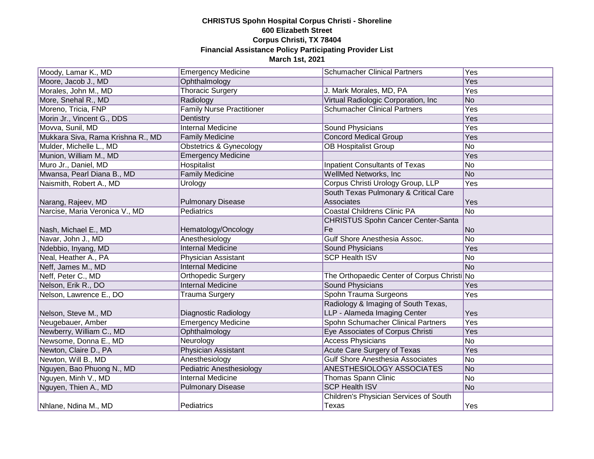| Moody, Lamar K., MD               | <b>Emergency Medicine</b>          | <b>Schumacher Clinical Partners</b>         | Yes |
|-----------------------------------|------------------------------------|---------------------------------------------|-----|
| Moore, Jacob J., MD               | Ophthalmology                      |                                             | Yes |
| Morales, John M., MD              | <b>Thoracic Surgery</b>            | J. Mark Morales, MD, PA                     | Yes |
| More, Snehal R., MD               | Radiology                          | Virtual Radiologic Corporation, Inc.        | No  |
| Moreno, Tricia, FNP               | <b>Family Nurse Practitioner</b>   | <b>Schumacher Clinical Partners</b>         | Yes |
| Morin Jr., Vincent G., DDS        | Dentistry                          |                                             | Yes |
| Movva, Sunil, MD                  | <b>Internal Medicine</b>           | Sound Physicians                            | Yes |
| Mukkara Siva, Rama Krishna R., MD | <b>Family Medicine</b>             | <b>Concord Medical Group</b>                | Yes |
| Mulder, Michelle L., MD           | <b>Obstetrics &amp; Gynecology</b> | <b>OB Hospitalist Group</b>                 | No  |
| Munion, William M., MD            | <b>Emergency Medicine</b>          |                                             | Yes |
| Muro Jr., Daniel, MD              | <b>Hospitalist</b>                 | <b>Inpatient Consultants of Texas</b>       | No  |
| Mwansa, Pearl Diana B., MD        | <b>Family Medicine</b>             | WellMed Networks, Inc.                      | No  |
| Naismith, Robert A., MD           | Urology                            | Corpus Christi Urology Group, LLP           | Yes |
|                                   |                                    | South Texas Pulmonary & Critical Care       |     |
| Narang, Rajeev, MD                | <b>Pulmonary Disease</b>           | Associates                                  | Yes |
| Narcise, Maria Veronica V., MD    | Pediatrics                         | <b>Coastal Childrens Clinic PA</b>          | No  |
|                                   |                                    | <b>CHRISTUS Spohn Cancer Center-Santa</b>   |     |
| Nash, Michael E., MD              | Hematology/Oncology                | Fe                                          | No  |
| Navar, John J., MD                | Anesthesiology                     | <b>Gulf Shore Anesthesia Assoc.</b>         | No  |
| Ndebbio, Inyang, MD               | <b>Internal Medicine</b>           | <b>Sound Physicians</b>                     | Yes |
| Neal, Heather A., PA              | Physician Assistant                | <b>SCP Health ISV</b>                       | No  |
| Neff, James M., MD                | <b>Internal Medicine</b>           |                                             | No  |
| Neff, Peter C., MD                | Orthopedic Surgery                 | The Orthopaedic Center of Corpus Christi No |     |
| Nelson, Erik R., DO               | <b>Internal Medicine</b>           | Sound Physicians                            | Yes |
| Nelson, Lawrence E., DO           | <b>Trauma Surgery</b>              | Spohn Trauma Surgeons                       | Yes |
|                                   |                                    | Radiology & Imaging of South Texas,         |     |
| Nelson, Steve M., MD              | Diagnostic Radiology               | LLP - Alameda Imaging Center                | Yes |
| Neugebauer, Amber                 | <b>Emergency Medicine</b>          | Spohn Schumacher Clinical Partners          | Yes |
| Newberry, William C., MD          | Ophthalmology                      | Eye Associates of Corpus Christi            | Yes |
| Newsome, Donna E., MD             | Neurology                          | <b>Access Physicians</b>                    | No  |
| Newton, Claire D., PA             | Physician Assistant                | <b>Acute Care Surgery of Texas</b>          | Yes |
| Newton, Will B., MD               | Anesthesiology                     | <b>Gulf Shore Anesthesia Associates</b>     | No  |
| Nguyen, Bao Phuong N., MD         | <b>Pediatric Anesthesiology</b>    | ANESTHESIOLOGY ASSOCIATES                   | No  |
| Nguyen, Minh V., MD               | <b>Internal Medicine</b>           | Thomas Spann Clinic                         | No  |
| Nguyen, Thien A., MD              | <b>Pulmonary Disease</b>           | <b>SCP Health ISV</b>                       | No  |
|                                   |                                    | Children's Physician Services of South      |     |
| Nhlane, Ndina M., MD              | Pediatrics                         | Texas                                       | Yes |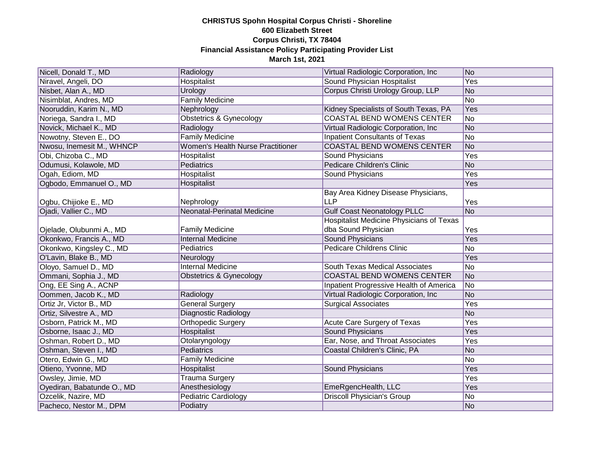| Nicell, Donald T., MD      | Radiology                                | Virtual Radiologic Corporation, Inc.            | No             |
|----------------------------|------------------------------------------|-------------------------------------------------|----------------|
| Niravel, Angeli, DO        | <b>Hospitalist</b>                       | <b>Sound Physician Hospitalist</b>              | Yes            |
| Nisbet, Alan A., MD        | Urology                                  | Corpus Christi Urology Group, LLP               | No             |
| Nisimblat, Andres, MD      | <b>Family Medicine</b>                   |                                                 | N <sub>o</sub> |
| Nooruddin, Karim N., MD    | Nephrology                               | Kidney Specialists of South Texas, PA           | Yes            |
| Noriega, Sandra I., MD     | <b>Obstetrics &amp; Gynecology</b>       | <b>COASTAL BEND WOMENS CENTER</b>               | N <sub>o</sub> |
| Novick, Michael K., MD     | Radiology                                | Virtual Radiologic Corporation, Inc.            | No             |
| Nowotny, Steven E., DO     | <b>Family Medicine</b>                   | <b>Inpatient Consultants of Texas</b>           | No             |
| Nwosu, Inemesit M., WHNCP  | <b>Women's Health Nurse Practitioner</b> | <b>COASTAL BEND WOMENS CENTER</b>               | No             |
| Obi, Chizoba C., MD        | Hospitalist                              | <b>Sound Physicians</b>                         | Yes            |
| Odumusi, Kolawole, MD      | <b>Pediatrics</b>                        | Pedicare Children's Clinic                      | No             |
| Ogah, Ediom, MD            | Hospitalist                              | Sound Physicians                                | Yes            |
| Ogbodo, Emmanuel O., MD    | Hospitalist                              |                                                 | Yes            |
|                            |                                          | Bay Area Kidney Disease Physicians,             |                |
| Ogbu, Chijioke E., MD      | Nephrology                               | <b>LLP</b>                                      | Yes            |
| Ojadi, Vallier C., MD      | <b>Neonatal-Perinatal Medicine</b>       | <b>Gulf Coast Neonatology PLLC</b>              | N <sub>o</sub> |
|                            |                                          | <b>Hospitalist Medicine Physicians of Texas</b> |                |
| Ojelade, Olubunmi A., MD   | <b>Family Medicine</b>                   | dba Sound Physician                             | Yes            |
| Okonkwo, Francis A., MD    | <b>Internal Medicine</b>                 | <b>Sound Physicians</b>                         | Yes            |
| Okonkwo, Kingsley C., MD   | Pediatrics                               | <b>Pedicare Childrens Clinic</b>                | No             |
| O'Lavin, Blake B., MD      | Neurology                                |                                                 | Yes            |
| Oloyo, Samuel D., MD       | <b>Internal Medicine</b>                 | South Texas Medical Associates                  | No             |
| Ommani, Sophia J., MD      | Obstetrics & Gynecology                  | <b>COASTAL BEND WOMENS CENTER</b>               | No             |
| Ong, EE Sing A., ACNP      |                                          | Inpatient Progressive Health of America         | No             |
| Oommen, Jacob K., MD       | Radiology                                | Virtual Radiologic Corporation, Inc.            | No             |
| Ortiz Jr, Victor B., MD    | <b>General Surgery</b>                   | <b>Surgical Associates</b>                      | Yes            |
| Ortiz, Silvestre A., MD    | Diagnostic Radiology                     |                                                 | No             |
| Osborn, Patrick M., MD     | Orthopedic Surgery                       | Acute Care Surgery of Texas                     | Yes            |
| Osborne, Isaac J., MD      | Hospitalist                              | <b>Sound Physicians</b>                         | Yes            |
| Oshman, Robert D., MD      | Otolaryngology                           | Ear, Nose, and Throat Associates                | Yes            |
| Oshman, Steven I., MD      | Pediatrics                               | Coastal Children's Clinic, PA                   | No             |
| Otero, Edwin G., MD        | Family Medicine                          |                                                 | No             |
| Otieno, Yvonne, MD         | Hospitalist                              | <b>Sound Physicians</b>                         | Yes            |
| Owsley, Jimie, MD          | <b>Trauma Surgery</b>                    |                                                 | Yes            |
| Oyediran, Babatunde O., MD | Anesthesiology                           | EmeRgencHealth, LLC                             | Yes            |
| Ozcelik, Nazire, MD        | <b>Pediatric Cardiology</b>              | <b>Driscoll Physician's Group</b>               | No             |
| Pacheco, Nestor M., DPM    | Podiatry                                 |                                                 | No             |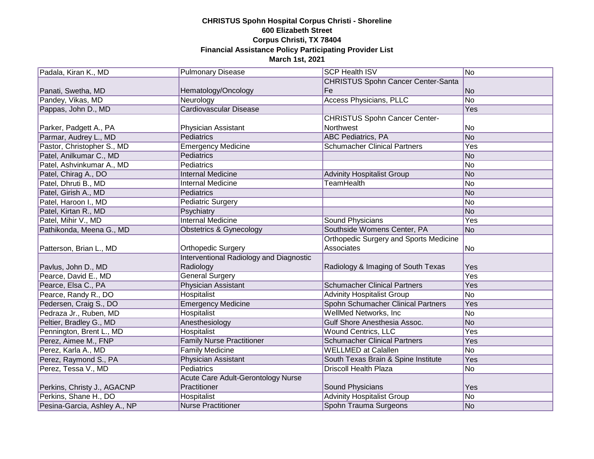| Padala, Kiran K., MD         | <b>Pulmonary Disease</b>                  | <b>SCP Health ISV</b>                         | No         |
|------------------------------|-------------------------------------------|-----------------------------------------------|------------|
|                              |                                           | <b>CHRISTUS Spohn Cancer Center-Santa</b>     |            |
| Panati, Swetha, MD           | Hematology/Oncology                       | Fe                                            | No         |
| Pandey, Vikas, MD            | Neurology                                 | <b>Access Physicians, PLLC</b>                | No         |
| Pappas, John D., MD          | <b>Cardiovascular Disease</b>             |                                               | Yes        |
|                              |                                           | <b>CHRISTUS Spohn Cancer Center-</b>          |            |
| Parker, Padgett A., PA       | Physician Assistant                       | Northwest                                     | No         |
| Parmar, Audrey L., MD        | Pediatrics                                | <b>ABC Pediatrics, PA</b>                     | No         |
| Pastor, Christopher S., MD   | <b>Emergency Medicine</b>                 | <b>Schumacher Clinical Partners</b>           | <b>Yes</b> |
| Patel, Anilkumar C., MD      | Pediatrics                                |                                               | No         |
| Patel, Ashvinkumar A., MD    | Pediatrics                                |                                               | No         |
| Patel, Chirag A., DO         | <b>Internal Medicine</b>                  | <b>Advinity Hospitalist Group</b>             | No         |
| Patel, Dhruti B., MD         | <b>Internal Medicine</b>                  | <b>TeamHealth</b>                             | No         |
| Patel, Girish A., MD         | Pediatrics                                |                                               | No         |
| Patel, Haroon I., MD         | Pediatric Surgery                         |                                               | No         |
| Patel, Kirtan R., MD         | Psychiatry                                |                                               | No         |
| Patel, Mihir V., MD          | <b>Internal Medicine</b>                  | Sound Physicians                              | Yes        |
| Pathikonda, Meena G., MD     | Obstetrics & Gynecology                   | Southside Womens Center, PA                   | No         |
|                              |                                           | <b>Orthopedic Surgery and Sports Medicine</b> |            |
| Patterson, Brian L., MD      | <b>Orthopedic Surgery</b>                 | Associates                                    | No         |
|                              | Interventional Radiology and Diagnostic   |                                               |            |
| Pavlus, John D., MD          | Radiology                                 | Radiology & Imaging of South Texas            | Yes        |
| Pearce, David E., MD         | <b>General Surgery</b>                    |                                               | Yes        |
| Pearce, Elsa C., PA          | Physician Assistant                       | <b>Schumacher Clinical Partners</b>           | Yes        |
| Pearce, Randy R., DO         | Hospitalist                               | <b>Advinity Hospitalist Group</b>             | No         |
| Pedersen, Craig S., DO       | <b>Emergency Medicine</b>                 | Spohn Schumacher Clinical Partners            | Yes        |
| Pedraza Jr., Ruben, MD       | Hospitalist                               | WellMed Networks, Inc.                        | No         |
| Peltier, Bradley G., MD      | Anesthesiology                            | Gulf Shore Anesthesia Assoc.                  | No         |
| Pennington, Brent L., MD     | Hospitalist                               | <b>Wound Centrics, LLC</b>                    | Yes        |
| Perez, Aimee M., FNP         | <b>Family Nurse Practitioner</b>          | <b>Schumacher Clinical Partners</b>           | Yes        |
| Perez, Karla A., MD          | <b>Family Medicine</b>                    | <b>WELLMED at Calallen</b>                    | No         |
| Perez, Raymond S., PA        | <b>Physician Assistant</b>                | South Texas Brain & Spine Institute           | Yes        |
| Perez, Tessa V., MD          | Pediatrics                                | <b>Driscoll Health Plaza</b>                  | No         |
|                              | <b>Acute Care Adult-Gerontology Nurse</b> |                                               |            |
| Perkins, Christy J., AGACNP  | Practitioner                              | Sound Physicians                              | Yes        |
| Perkins, Shane H., DO        | Hospitalist                               | <b>Advinity Hospitalist Group</b>             | No         |
| Pesina-Garcia, Ashley A., NP | <b>Nurse Practitioner</b>                 | Spohn Trauma Surgeons                         | No         |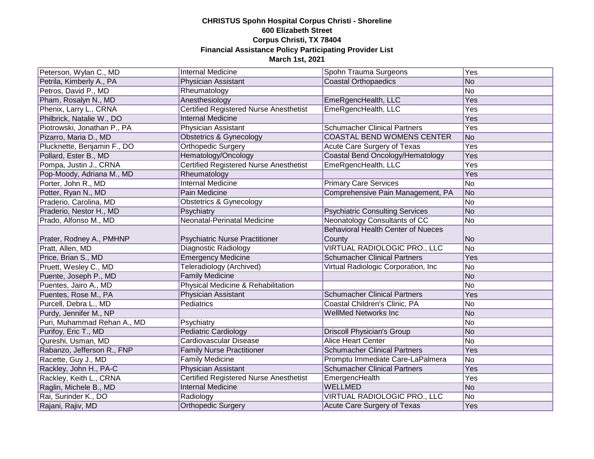| Peterson, Wylan C., MD      | <b>Internal Medicine</b>                      | Spohn Trauma Surgeons                               | Yes            |
|-----------------------------|-----------------------------------------------|-----------------------------------------------------|----------------|
| Petrila, Kimberly A., PA    | Physician Assistant                           | <b>Coastal Orthopaedics</b>                         | No             |
| Petros, David P., MD        | Rheumatology                                  |                                                     | No             |
| Pham, Rosalyn N., MD        | Anesthesiology                                | EmeRgencHealth, LLC                                 | Yes            |
| Phenix, Larry L., CRNA      | <b>Certified Registered Nurse Anesthetist</b> | EmeRgencHealth, LLC                                 | Yes            |
| Philbrick, Natalie W., DO   | <b>Internal Medicine</b>                      |                                                     | Yes            |
| Piotrowski, Jonathan P., PA | Physician Assistant                           | <b>Schumacher Clinical Partners</b>                 | Yes            |
| Pizarro, Maria D., MD       | Obstetrics & Gynecology                       | COASTAL BEND WOMENS CENTER                          | No             |
| Plucknette, Benjamin F., DO | Orthopedic Surgery                            | Acute Care Surgery of Texas                         | <b>Yes</b>     |
| Pollard, Ester B., MD       | Hematology/Oncology                           | Coastal Bend Oncology/Hematology                    | Yes            |
| Pompa, Justin J., CRNA      | Certified Registered Nurse Anesthetist        | EmeRgencHealth, LLC                                 | Yes            |
| Pop-Moody, Adriana M., MD   | Rheumatology                                  |                                                     | Yes            |
| Porter, John R., MD         | <b>Internal Medicine</b>                      | <b>Primary Care Services</b>                        | No             |
| Potter, Ryan N., MD         | Pain Medicine                                 | Comprehensive Pain Management, PA                   | No             |
| Praderio, Carolina, MD      | Obstetrics & Gynecology                       |                                                     | No             |
| Praderio, Nestor H., MD     | Psychiatry                                    | <b>Psychiatric Consulting Services</b>              | No             |
| Prado, Alfonso M., MD       | <b>Neonatal-Perinatal Medicine</b>            | <b>Neonatology Consultants of CC</b>                | No             |
| Prater, Rodney A., PMHNP    | <b>Psychiatric Nurse Practitioner</b>         | <b>Behavioral Health Center of Nueces</b><br>County | No             |
| Pratt, Allen, MD            | Diagnostic Radiology                          | VIRTUAL RADIOLOGIC PRO., LLC                        | No             |
| Price, Brian S., MD         | <b>Emergency Medicine</b>                     | <b>Schumacher Clinical Partners</b>                 | Yes            |
| Pruett, Wesley C., MD       | Teleradiology (Archived)                      | Virtual Radiologic Corporation, Inc                 | No             |
| Puente, Joseph P., MD       | <b>Family Medicine</b>                        |                                                     | No             |
| Puentes, Jairo A., MD       | Physical Medicine & Rehabilitation            |                                                     | No             |
| Puentes, Rose M., PA        | Physician Assistant                           | <b>Schumacher Clinical Partners</b>                 | Yes            |
| Purcell, Debra L., MD       | Pediatrics                                    | Coastal Children's Clinic, PA                       | No             |
| Purdy, Jennifer M., NP      |                                               | <b>WellMed Networks Inc</b>                         | No             |
| Puri, Muhammad Rehan A., MD | Psychiatry                                    |                                                     | No             |
| Purifoy, Eric T., MD        | <b>Pediatric Cardiology</b>                   | <b>Driscoll Physician's Group</b>                   | No             |
| Qureshi, Usman, MD          | Cardiovascular Disease                        | <b>Alice Heart Center</b>                           | No             |
| Rabanzo, Jefferson R., FNP  | <b>Family Nurse Practitioner</b>              | <b>Schumacher Clinical Partners</b>                 | Yes            |
| Racette, Guy J., MD         | <b>Family Medicine</b>                        | Promptu Immediate Care-LaPalmera                    | No             |
| Rackley, John H., PA-C      | Physician Assistant                           | <b>Schumacher Clinical Partners</b>                 | Yes            |
| Rackley, Keith L., CRNA     | <b>Certified Registered Nurse Anesthetist</b> | EmergencHealth                                      | Yes            |
| Raglin, Michele B., MD      | <b>Internal Medicine</b>                      | <b>WELLMED</b>                                      | No             |
| Rai, Surinder K., DO        | Radiology                                     | <b>VIRTUAL RADIOLOGIC PRO., LLC</b>                 | N <sub>o</sub> |
| Rajani, Rajiv, MD           | <b>Orthopedic Surgery</b>                     | Acute Care Surgery of Texas                         | Yes            |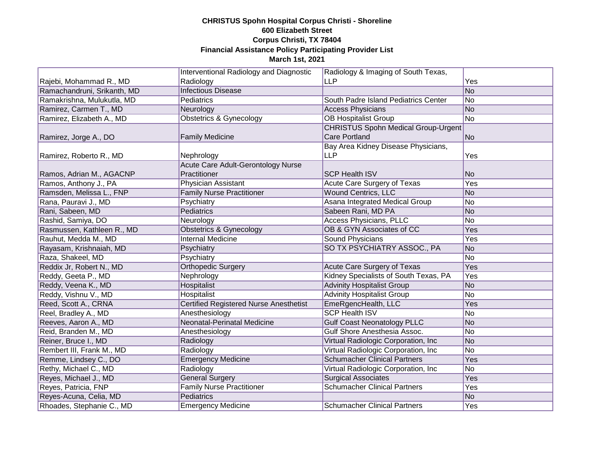|                             | Interventional Radiology and Diagnostic       | Radiology & Imaging of South Texas,        |                |
|-----------------------------|-----------------------------------------------|--------------------------------------------|----------------|
| Rajebi, Mohammad R., MD     | Radiology                                     | <b>LLP</b>                                 | Yes            |
| Ramachandruni, Srikanth, MD | <b>Infectious Disease</b>                     |                                            | No             |
| Ramakrishna, Mulukutla, MD  | Pediatrics                                    | South Padre Island Pediatrics Center       | No             |
| Ramirez, Carmen T., MD      | Neurology                                     | <b>Access Physicians</b>                   | <b>No</b>      |
| Ramirez, Elizabeth A., MD   | <b>Obstetrics &amp; Gynecology</b>            | <b>OB Hospitalist Group</b>                | No             |
|                             |                                               | <b>CHRISTUS Spohn Medical Group-Urgent</b> |                |
| Ramirez, Jorge A., DO       | <b>Family Medicine</b>                        | <b>Care Portland</b>                       | No             |
|                             |                                               | Bay Area Kidney Disease Physicians,        |                |
| Ramirez, Roberto R., MD     | Nephrology                                    | <b>LLP</b>                                 | Yes            |
|                             | Acute Care Adult-Gerontology Nurse            |                                            |                |
| Ramos, Adrian M., AGACNP    | Practitioner                                  | <b>SCP Health ISV</b>                      | No             |
| Ramos, Anthony J., PA       | Physician Assistant                           | Acute Care Surgery of Texas                | Yes            |
| Ramsden, Melissa L., FNP    | <b>Family Nurse Practitioner</b>              | <b>Wound Centrics, LLC</b>                 | No             |
| Rana, Pauravi J., MD        | Psychiatry                                    | Asana Integrated Medical Group             | No             |
| Rani, Sabeen, MD            | <b>Pediatrics</b>                             | Sabeen Rani, MD PA                         | No             |
| Rashid, Samiya, DO          | Neurology                                     | <b>Access Physicians, PLLC</b>             | No             |
| Rasmussen, Kathleen R., MD  | <b>Obstetrics &amp; Gynecology</b>            | OB & GYN Associates of CC                  | Yes            |
| Rauhut, Medda M., MD        | <b>Internal Medicine</b>                      | <b>Sound Physicians</b>                    | Yes            |
| Rayasam, Krishnaiah, MD     | Psychiatry                                    | SO TX PSYCHIATRY ASSOC., PA                | No             |
| Raza, Shakeel, MD           | Psychiatry                                    |                                            | No             |
| Reddix Jr, Robert N., MD    | <b>Orthopedic Surgery</b>                     | Acute Care Surgery of Texas                | Yes            |
| Reddy, Geeta P., MD         | Nephrology                                    | Kidney Specialists of South Texas, PA      | Yes            |
| Reddy, Veena K., MD         | Hospitalist                                   | <b>Advinity Hospitalist Group</b>          | No             |
| Reddy, Vishnu V., MD        | Hospitalist                                   | <b>Advinity Hospitalist Group</b>          | No             |
| Reed, Scott A., CRNA        | <b>Certified Registered Nurse Anesthetist</b> | EmeRgencHealth, LLC                        | Yes            |
| Reel, Bradley A., MD        | Anesthesiology                                | <b>SCP Health ISV</b>                      | No             |
| Reeves, Aaron A., MD        | Neonatal-Perinatal Medicine                   | <b>Gulf Coast Neonatology PLLC</b>         | No             |
| Reid, Branden M., MD        | Anesthesiology                                | Gulf Shore Anesthesia Assoc.               | No             |
| Reiner, Bruce I., MD        | Radiology                                     | Virtual Radiologic Corporation, Inc        | No             |
| Rembert III, Frank M., MD   | Radiology                                     | Virtual Radiologic Corporation, Inc.       | No             |
| Remme, Lindsey C., DO       | <b>Emergency Medicine</b>                     | <b>Schumacher Clinical Partners</b>        | Yes            |
| Rethy, Michael C., MD       | Radiology                                     | Virtual Radiologic Corporation, Inc.       | N <sub>o</sub> |
| Reyes, Michael J., MD       | <b>General Surgery</b>                        | <b>Surgical Associates</b>                 | Yes            |
| Reyes, Patricia, FNP        | <b>Family Nurse Practitioner</b>              | <b>Schumacher Clinical Partners</b>        | Yes            |
| Reyes-Acuna, Celia, MD      | <b>Pediatrics</b>                             |                                            | N <sub>o</sub> |
| Rhoades, Stephanie C., MD   | <b>Emergency Medicine</b>                     | <b>Schumacher Clinical Partners</b>        | Yes            |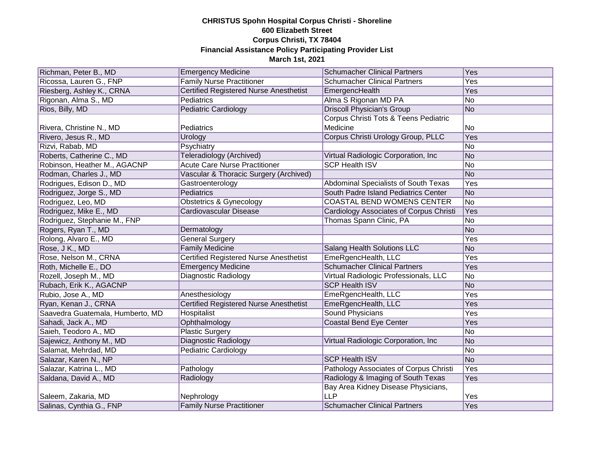| Richman, Peter B., MD            | <b>Emergency Medicine</b>                     | <b>Schumacher Clinical Partners</b>     | Yes |
|----------------------------------|-----------------------------------------------|-----------------------------------------|-----|
|                                  | <b>Family Nurse Practitioner</b>              | <b>Schumacher Clinical Partners</b>     | Yes |
| Ricossa, Lauren G., FNP          |                                               |                                         |     |
| Riesberg, Ashley K., CRNA        | <b>Certified Registered Nurse Anesthetist</b> | EmergencHealth                          | Yes |
| Rigonan, Alma S., MD             | Pediatrics                                    | Alma S Rigonan MD PA                    | No  |
| Rios, Billy, MD                  | <b>Pediatric Cardiology</b>                   | <b>Driscoll Physician's Group</b>       | No  |
|                                  |                                               | Corpus Christi Tots & Teens Pediatric   |     |
| Rivera, Christine N., MD         | Pediatrics                                    | Medicine                                | No  |
| Rivero, Jesus R., MD             | Urology                                       | Corpus Christi Urology Group, PLLC      | Yes |
| Rizvi, Rabab, MD                 | Psychiatry                                    |                                         | No  |
| Roberts, Catherine C., MD        | Teleradiology (Archived)                      | Virtual Radiologic Corporation, Inc     | No  |
| Robinson, Heather M., AGACNP     | <b>Acute Care Nurse Practitioner</b>          | <b>SCP Health ISV</b>                   | No  |
| Rodman, Charles J., MD           | Vascular & Thoracic Surgery (Archived)        |                                         | No  |
| Rodrigues, Edison D., MD         | Gastroenterology                              | Abdominal Specialists of South Texas    | Yes |
| Rodriguez, Jorge S., MD          | Pediatrics                                    | South Padre Island Pediatrics Center    | No  |
| Rodriguez, Leo, MD               | <b>Obstetrics &amp; Gynecology</b>            | <b>COASTAL BEND WOMENS CENTER</b>       | No  |
| Rodriguez, Mike E., MD           | <b>Cardiovascular Disease</b>                 | Cardiology Associates of Corpus Christi | Yes |
| Rodriguez, Stephanie M., FNP     |                                               | Thomas Spann Clinic, PA                 | No  |
| Rogers, Ryan T., MD              | Dermatology                                   |                                         | No  |
| Rolong, Alvaro E., MD            | <b>General Surgery</b>                        |                                         | Yes |
| Rose, J K., MD                   | <b>Family Medicine</b>                        | <b>Salang Health Solutions LLC</b>      | No  |
| Rose, Nelson M., CRNA            | <b>Certified Registered Nurse Anesthetist</b> | EmeRgencHealth, LLC                     | Yes |
| Roth, Michelle E., DO            | <b>Emergency Medicine</b>                     | <b>Schumacher Clinical Partners</b>     | Yes |
| Rozell, Joseph M., MD            | <b>Diagnostic Radiology</b>                   | Virtual Radiologic Professionals, LLC   | No  |
| Rubach, Erik K., AGACNP          |                                               | <b>SCP Health ISV</b>                   | No  |
| Rubio, Jose A., MD               | Anesthesiology                                | EmeRgencHealth, LLC                     | Yes |
| Ryan, Kenan J., CRNA             | <b>Certified Registered Nurse Anesthetist</b> | EmeRgencHealth, LLC                     | Yes |
| Saavedra Guatemala, Humberto, MD | Hospitalist                                   | <b>Sound Physicians</b>                 | Yes |
| Sahadi, Jack A., MD              | Ophthalmology                                 | <b>Coastal Bend Eye Center</b>          | Yes |
| Saieh, Teodoro A., MD            | <b>Plastic Surgery</b>                        |                                         | No  |
| Sajewicz, Anthony M., MD         | <b>Diagnostic Radiology</b>                   | Virtual Radiologic Corporation, Inc     | No  |
| Salamat, Mehrdad, MD             | Pediatric Cardiology                          |                                         | No  |
| Salazar, Karen N., NP            |                                               | <b>SCP Health ISV</b>                   | No  |
| Salazar, Katrina L., MD          | Pathology                                     | Pathology Associates of Corpus Christi  | Yes |
| Saldana, David A., MD            | Radiology                                     | Radiology & Imaging of South Texas      | Yes |
|                                  |                                               | Bay Area Kidney Disease Physicians,     |     |
| Saleem, Zakaria, MD              | Nephrology                                    | <b>LLP</b>                              | Yes |
| Salinas, Cynthia G., FNP         | <b>Family Nurse Practitioner</b>              | <b>Schumacher Clinical Partners</b>     | Yes |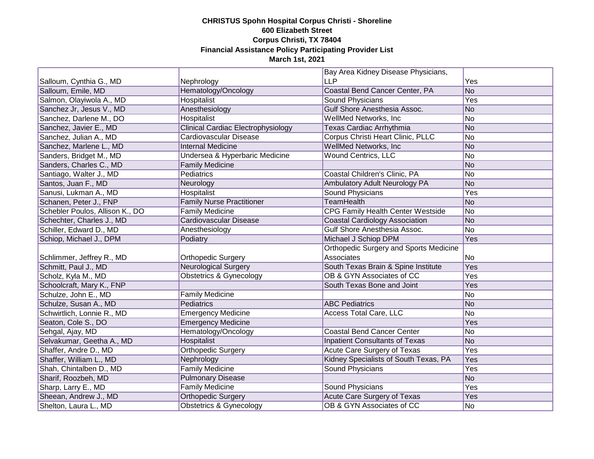|                                 |                                    | Bay Area Kidney Disease Physicians,           |     |
|---------------------------------|------------------------------------|-----------------------------------------------|-----|
| Salloum, Cynthia G., MD         | Nephrology                         | <b>LLP</b>                                    | Yes |
| Salloum, Emile, MD              | Hematology/Oncology                | Coastal Bend Cancer Center, PA                | No  |
| Salmon, Olayiwola A., MD        | Hospitalist                        | Sound Physicians                              | Yes |
| Sanchez Jr, Jesus V., MD        | Anesthesiology                     | Gulf Shore Anesthesia Assoc.                  | No  |
| Sanchez, Darlene M., DO         | Hospitalist                        | WellMed Networks, Inc.                        | No  |
| Sanchez, Javier E., MD          | Clinical Cardiac Electrophysiology | Texas Cardiac Arrhythmia                      | No  |
| Sanchez, Julian A., MD          | Cardiovascular Disease             | Corpus Christi Heart Clinic, PLLC             | No  |
| Sanchez, Marlene L., MD         | <b>Internal Medicine</b>           | <b>WellMed Networks, Inc.</b>                 | No  |
| Sanders, Bridget M., MD         | Undersea & Hyperbaric Medicine     | <b>Wound Centrics, LLC</b>                    | No  |
| Sanders, Charles C., MD         | <b>Family Medicine</b>             |                                               | No  |
| Santiago, Walter J., MD         | Pediatrics                         | Coastal Children's Clinic, PA                 | No  |
| Santos, Juan F., MD             | Neurology                          | Ambulatory Adult Neurology PA                 | No  |
| Sanusi, Lukman A., MD           | Hospitalist                        | <b>Sound Physicians</b>                       | Yes |
| Schanen, Peter J., FNP          | <b>Family Nurse Practitioner</b>   | <b>TeamHealth</b>                             | No  |
| Schebler Poulos, Allison K., DO | <b>Family Medicine</b>             | CPG Family Health Center Westside             | No  |
| Schechter, Charles J., MD       | Cardiovascular Disease             | <b>Coastal Cardiology Association</b>         | No  |
| Schiller, Edward D., MD         | Anesthesiology                     | <b>Gulf Shore Anesthesia Assoc.</b>           | No  |
| Schiop, Michael J., DPM         | Podiatry                           | Michael J Schiop DPM                          | Yes |
|                                 |                                    | <b>Orthopedic Surgery and Sports Medicine</b> |     |
| Schlimmer, Jeffrey R., MD       | Orthopedic Surgery                 | Associates                                    | No  |
| Schmitt, Paul J., MD            | <b>Neurological Surgery</b>        | South Texas Brain & Spine Institute           | Yes |
| Scholz, Kyla M., MD             | <b>Obstetrics &amp; Gynecology</b> | OB & GYN Associates of CC                     | Yes |
| Schoolcraft, Mary K., FNP       |                                    | South Texas Bone and Joint                    | Yes |
| Schulze, John E., MD            | <b>Family Medicine</b>             |                                               | No  |
| Schulze, Susan A., MD           | Pediatrics                         | <b>ABC Pediatrics</b>                         | No  |
| Schwirtlich, Lonnie R., MD      | <b>Emergency Medicine</b>          | <b>Access Total Care, LLC</b>                 | No  |
| Seaton, Cole S., DO             | <b>Emergency Medicine</b>          |                                               | Yes |
| Sehgal, Ajay, MD                | Hematology/Oncology                | <b>Coastal Bend Cancer Center</b>             | No  |
| Selvakumar, Geetha A., MD       | Hospitalist                        | <b>Inpatient Consultants of Texas</b>         | No  |
| Shaffer, Andre D., MD           | Orthopedic Surgery                 | <b>Acute Care Surgery of Texas</b>            | Yes |
| Shaffer, William L., MD         | Nephrology                         | Kidney Specialists of South Texas, PA         | Yes |
| Shah, Chintalben D., MD         | <b>Family Medicine</b>             | <b>Sound Physicians</b>                       | Yes |
| Sharif, Roozbeh, MD             | <b>Pulmonary Disease</b>           |                                               | No  |
| Sharp, Larry E., MD             | <b>Family Medicine</b>             | <b>Sound Physicians</b>                       | Yes |
| Sheean, Andrew J., MD           | <b>Orthopedic Surgery</b>          | <b>Acute Care Surgery of Texas</b>            | Yes |
| Shelton, Laura L., MD           | Obstetrics & Gynecology            | OB & GYN Associates of CC                     | No  |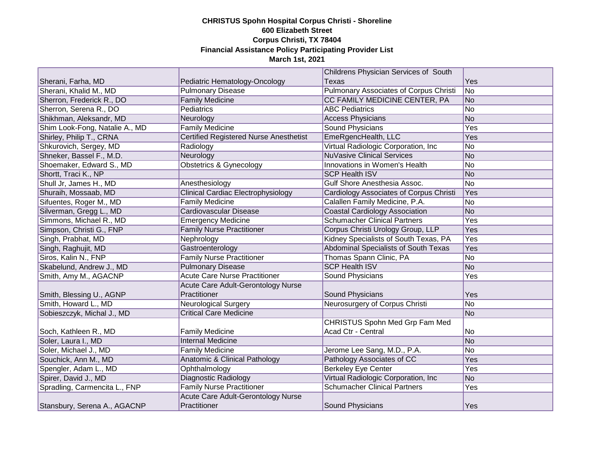|                                |                                               | Childrens Physician Services of South         |     |
|--------------------------------|-----------------------------------------------|-----------------------------------------------|-----|
| Sherani, Farha, MD             | Pediatric Hematology-Oncology                 | <b>Texas</b>                                  | Yes |
| Sherani, Khalid M., MD         | <b>Pulmonary Disease</b>                      | <b>Pulmonary Associates of Corpus Christi</b> | No  |
| Sherron, Frederick R., DO      | <b>Family Medicine</b>                        | CC FAMILY MEDICINE CENTER, PA                 | No  |
| Sherron, Serena R., DO         | <b>Pediatrics</b>                             | <b>ABC Pediatrics</b>                         | No  |
| Shikhman, Aleksandr, MD        | Neurology                                     | <b>Access Physicians</b>                      | No  |
| Shim Look-Fong, Natalie A., MD | Family Medicine                               | <b>Sound Physicians</b>                       | Yes |
| Shirley, Philip T., CRNA       | <b>Certified Registered Nurse Anesthetist</b> | EmeRgencHealth, LLC                           | Yes |
| Shkurovich, Sergey, MD         | Radiology                                     | Virtual Radiologic Corporation, Inc           | No  |
| Shneker, Bassel F., M.D.       | Neurology                                     | <b>NuVasive Clinical Services</b>             | No  |
| Shoemaker, Edward S., MD       | <b>Obstetrics &amp; Gynecology</b>            | Innovations in Women's Health                 | No  |
| Shortt, Traci K., NP           |                                               | <b>SCP Health ISV</b>                         | No  |
| Shull Jr, James H., MD         | Anesthesiology                                | Gulf Shore Anesthesia Assoc.                  | No  |
| Shuraih, Mossaab, MD           | <b>Clinical Cardiac Electrophysiology</b>     | Cardiology Associates of Corpus Christi       | Yes |
| Sifuentes, Roger M., MD        | <b>Family Medicine</b>                        | Calallen Family Medicine, P.A.                | No  |
| Silverman, Gregg L., MD        | Cardiovascular Disease                        | <b>Coastal Cardiology Association</b>         | No  |
| Simmons, Michael R., MD        | <b>Emergency Medicine</b>                     | <b>Schumacher Clinical Partners</b>           | Yes |
| Simpson, Christi G., FNP       | <b>Family Nurse Practitioner</b>              | Corpus Christi Urology Group, LLP             | Yes |
| Singh, Prabhat, MD             | Nephrology                                    | Kidney Specialists of South Texas, PA         | Yes |
| Singh, Raghujit, MD            | Gastroenterology                              | Abdominal Specialists of South Texas          | Yes |
| Siros, Kalin N., FNP           | <b>Family Nurse Practitioner</b>              | Thomas Spann Clinic, PA                       | No  |
| Skabelund, Andrew J., MD       | <b>Pulmonary Disease</b>                      | <b>SCP Health ISV</b>                         | No  |
| Smith, Amy M., AGACNP          | <b>Acute Care Nurse Practitioner</b>          | Sound Physicians                              | Yes |
|                                | Acute Care Adult-Gerontology Nurse            |                                               |     |
| Smith, Blessing U., AGNP       | Practitioner                                  | Sound Physicians                              | Yes |
| Smith, Howard L., MD           | <b>Neurological Surgery</b>                   | Neurosurgery of Corpus Christi                | No  |
| Sobieszczyk, Michal J., MD     | <b>Critical Care Medicine</b>                 |                                               | No  |
|                                |                                               | <b>CHRISTUS Spohn Med Grp Fam Med</b>         |     |
| Soch, Kathleen R., MD          | <b>Family Medicine</b>                        | Acad Ctr - Central                            | No  |
| Soler, Laura I., MD            | <b>Internal Medicine</b>                      |                                               | No  |
| Soler, Michael J., MD          | <b>Family Medicine</b>                        | Jerome Lee Sang, M.D., P.A.                   | No  |
| Souchick, Ann M., MD           | Anatomic & Clinical Pathology                 | Pathology Associates of CC                    | Yes |
| Spengler, Adam L., MD          | Ophthalmology                                 | <b>Berkeley Eye Center</b>                    | Yes |
| Spirer, David J., MD           | Diagnostic Radiology                          | Virtual Radiologic Corporation, Inc           | No  |
| Spradling, Carmencita L., FNP  | <b>Family Nurse Practitioner</b>              | <b>Schumacher Clinical Partners</b>           | Yes |
|                                | Acute Care Adult-Gerontology Nurse            |                                               |     |
| Stansbury, Serena A., AGACNP   | Practitioner                                  | Sound Physicians                              | Yes |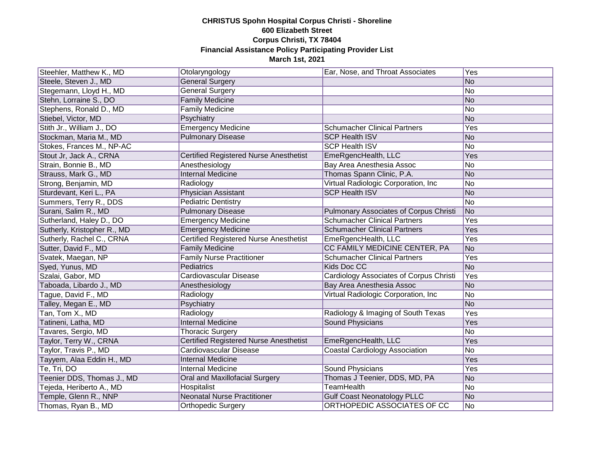| Steehler, Matthew K., MD    | Otolaryngology                                | Ear, Nose, and Throat Associates               | Yes            |
|-----------------------------|-----------------------------------------------|------------------------------------------------|----------------|
| Steele, Steven J., MD       | <b>General Surgery</b>                        |                                                | No             |
| Stegemann, Lloyd H., MD     | <b>General Surgery</b>                        |                                                | No             |
| Stehn, Lorraine S., DO      | <b>Family Medicine</b>                        |                                                | No             |
| Stephens, Ronald D., MD     | <b>Family Medicine</b>                        |                                                | No             |
| Stiebel, Victor, MD         | Psychiatry                                    |                                                | No             |
| Stith Jr., William J., DO   | <b>Emergency Medicine</b>                     | <b>Schumacher Clinical Partners</b>            | Yes            |
| Stockman, Maria M., MD      | <b>Pulmonary Disease</b>                      | <b>SCP Health ISV</b>                          | No             |
| Stokes, Frances M., NP-AC   |                                               | <b>SCP Health ISV</b>                          | No             |
| Stout Jr, Jack A., CRNA     | Certified Registered Nurse Anesthetist        | EmeRgencHealth, LLC                            | Yes            |
| Strain, Bonnie B., MD       | Anesthesiology                                | Bay Area Anesthesia Assoc                      | No             |
| Strauss, Mark G., MD        | <b>Internal Medicine</b>                      | Thomas Spann Clinic, P.A.                      | No             |
| Strong, Benjamin, MD        | Radiology                                     | Virtual Radiologic Corporation, Inc            | No             |
| Sturdevant, Keri L., PA     | Physician Assistant                           | <b>SCP Health ISV</b>                          | No             |
| Summers, Terry R., DDS      | <b>Pediatric Dentistry</b>                    |                                                | No             |
| Surani, Salim R., MD        | <b>Pulmonary Disease</b>                      | <b>Pulmonary Associates of Corpus Christi</b>  | No             |
| Sutherland, Haley D., DO    | <b>Emergency Medicine</b>                     | <b>Schumacher Clinical Partners</b>            | Yes            |
| Sutherly, Kristopher R., MD | <b>Emergency Medicine</b>                     | <b>Schumacher Clinical Partners</b>            | Yes            |
| Sutherly, Rachel C., CRNA   | <b>Certified Registered Nurse Anesthetist</b> | EmeRgencHealth, LLC                            | Yes            |
| Sutter, David F., MD        | <b>Family Medicine</b>                        | CC FAMILY MEDICINE CENTER, PA                  | No             |
| Svatek, Maegan, NP          | <b>Family Nurse Practitioner</b>              | <b>Schumacher Clinical Partners</b>            | Yes            |
| Syed, Yunus, MD             | Pediatrics                                    | <b>Kids Doc CC</b>                             | N <sub>o</sub> |
| Szalai, Gabor, MD           | Cardiovascular Disease                        | <b>Cardiology Associates of Corpus Christi</b> | Yes            |
| Taboada, Libardo J., MD     | Anesthesiology                                | Bay Area Anesthesia Assoc                      | No             |
| Tague, David F., MD         | Radiology                                     | Virtual Radiologic Corporation, Inc.           | No             |
| Talley, Megan E., MD        | Psychiatry                                    |                                                | No             |
| Tan, Tom X., MD             | Radiology                                     | Radiology & Imaging of South Texas             | Yes            |
| Tatineni, Latha, MD         | <b>Internal Medicine</b>                      | <b>Sound Physicians</b>                        | Yes            |
| Tavares, Sergio, MD         | <b>Thoracic Surgery</b>                       |                                                | No             |
| Taylor, Terry W., CRNA      | <b>Certified Registered Nurse Anesthetist</b> | EmeRgencHealth, LLC                            | Yes            |
| Taylor, Travis P., MD       | Cardiovascular Disease                        | <b>Coastal Cardiology Association</b>          | No             |
| Tayyem, Alaa Eddin H., MD   | <b>Internal Medicine</b>                      |                                                | Yes            |
| Te, Tri, DO                 | <b>Internal Medicine</b>                      | <b>Sound Physicians</b>                        | Yes            |
| Teenier DDS, Thomas J., MD  | Oral and Maxillofacial Surgery                | Thomas J Teenier, DDS, MD, PA                  | No             |
| Tejeda, Heriberto A., MD    | Hospitalist                                   | <b>TeamHealth</b>                              | No             |
| Temple, Glenn R., NNP       | <b>Neonatal Nurse Practitioner</b>            | <b>Gulf Coast Neonatology PLLC</b>             | No             |
| Thomas, Ryan B., MD         | <b>Orthopedic Surgery</b>                     | ORTHOPEDIC ASSOCIATES OF CC                    | No             |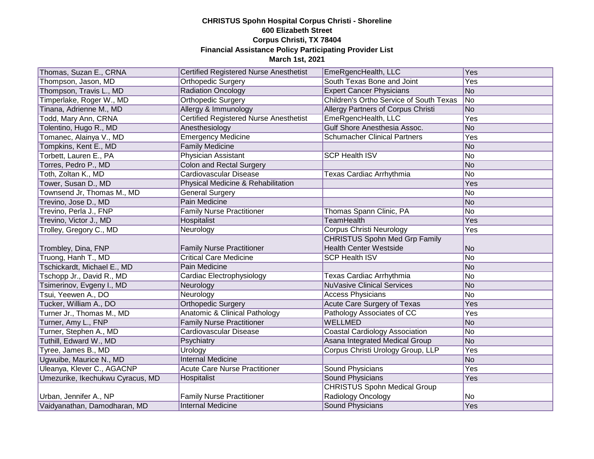| Thomas, Suzan E., CRNA           | <b>Certified Registered Nurse Anesthetist</b> | EmeRgencHealth, LLC                     | Yes            |
|----------------------------------|-----------------------------------------------|-----------------------------------------|----------------|
| Thompson, Jason, MD              | Orthopedic Surgery                            | South Texas Bone and Joint              | Yes            |
| Thompson, Travis L., MD          | <b>Radiation Oncology</b>                     | <b>Expert Cancer Physicians</b>         | No             |
| Timperlake, Roger W., MD         | <b>Orthopedic Surgery</b>                     | Children's Ortho Service of South Texas | No             |
| Tinana, Adrienne M., MD          | Allergy & Immunology                          | Allergy Partners of Corpus Christi      | No             |
| Todd, Mary Ann, CRNA             | <b>Certified Registered Nurse Anesthetist</b> | EmeRgencHealth, LLC                     | <b>Yes</b>     |
| Tolentino, Hugo R., MD           | Anesthesiology                                | Gulf Shore Anesthesia Assoc.            | No             |
| Tomanec, Alainya V., MD          | <b>Emergency Medicine</b>                     | <b>Schumacher Clinical Partners</b>     | Yes            |
| Tompkins, Kent E., MD            | <b>Family Medicine</b>                        |                                         | No             |
| Torbett, Lauren E., PA           | <b>Physician Assistant</b>                    | <b>SCP Health ISV</b>                   | No             |
| Torres, Pedro P., MD             | <b>Colon and Rectal Surgery</b>               |                                         | No             |
| Toth, Zoltan K., MD              | Cardiovascular Disease                        | Texas Cardiac Arrhythmia                | No             |
| Tower, Susan D., MD              | Physical Medicine & Rehabilitation            |                                         | Yes            |
| Townsend Jr, Thomas M., MD       | <b>General Surgery</b>                        |                                         | No             |
| Trevino, Jose D., MD             | <b>Pain Medicine</b>                          |                                         | No             |
| Trevino, Perla J., FNP           | <b>Family Nurse Practitioner</b>              | Thomas Spann Clinic, PA                 | No             |
| Trevino, Victor J., MD           | Hospitalist                                   | <b>TeamHealth</b>                       | Yes            |
| Trolley, Gregory C., MD          | Neurology                                     | <b>Corpus Christi Neurology</b>         | Yes            |
|                                  |                                               | <b>CHRISTUS Spohn Med Grp Family</b>    |                |
| Trombley, Dina, FNP              | <b>Family Nurse Practitioner</b>              | <b>Health Center Westside</b>           | No             |
| Truong, Hanh T., MD              | <b>Critical Care Medicine</b>                 | <b>SCP Health ISV</b>                   | No             |
| Tschickardt, Michael E., MD      | <b>Pain Medicine</b>                          |                                         | No             |
| Tschopp Jr., David R., MD        | Cardiac Electrophysiology                     | Texas Cardiac Arrhythmia                | No             |
| Tsimerinov, Evgeny I., MD        | Neurology                                     | <b>NuVasive Clinical Services</b>       | No             |
| Tsui, Yeewen A., DO              | Neurology                                     | <b>Access Physicians</b>                | No             |
| Tucker, William A., DO           | <b>Orthopedic Surgery</b>                     | <b>Acute Care Surgery of Texas</b>      | Yes            |
| Turner Jr., Thomas M., MD        | <b>Anatomic &amp; Clinical Pathology</b>      | Pathology Associates of CC              | Yes            |
| Turner, Amy L., FNP              | <b>Family Nurse Practitioner</b>              | <b>WELLMED</b>                          | No             |
| Turner, Stephen A., MD           | Cardiovascular Disease                        | <b>Coastal Cardiology Association</b>   | No             |
| Tuthill, Edward W., MD           | Psychiatry                                    | Asana Integrated Medical Group          | No             |
| Tyree, James B., MD              | Urology                                       | Corpus Christi Urology Group, LLP       | Yes            |
| Ugwuibe, Maurice N., MD          | <b>Internal Medicine</b>                      |                                         | No             |
| Uleanya, Klever C., AGACNP       | <b>Acute Care Nurse Practitioner</b>          | <b>Sound Physicians</b>                 | Yes            |
| Umezurike, Ikechukwu Cyracus, MD | Hospitalist                                   | Sound Physicians                        | Yes            |
|                                  |                                               | <b>CHRISTUS Spohn Medical Group</b>     |                |
| Urban, Jennifer A., NP           | <b>Family Nurse Practitioner</b>              | Radiology Oncology                      | N <sub>o</sub> |
| Vaidyanathan, Damodharan, MD     | <b>Internal Medicine</b>                      | <b>Sound Physicians</b>                 | Yes            |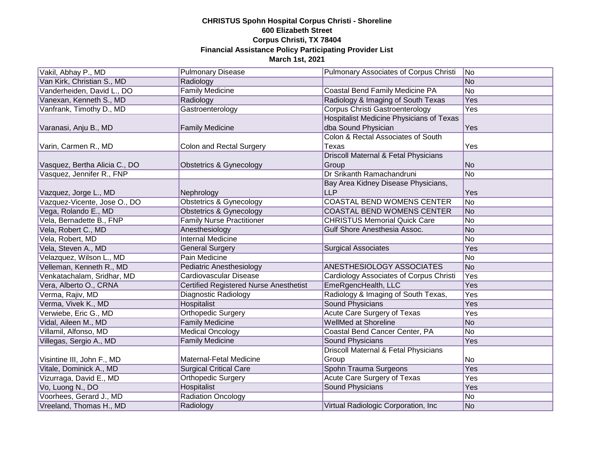| Vakil, Abhay P., MD           | <b>Pulmonary Disease</b>               | Pulmonary Associates of Corpus Christi          | No             |
|-------------------------------|----------------------------------------|-------------------------------------------------|----------------|
| Van Kirk, Christian S., MD    | Radiology                              |                                                 | No             |
| Vanderheiden, David L., DO    | <b>Family Medicine</b>                 | Coastal Bend Family Medicine PA                 | No             |
| Vanexan, Kenneth S., MD       | Radiology                              | Radiology & Imaging of South Texas              | Yes            |
| Vanfrank, Timothy D., MD      | Gastroenterology                       | <b>Corpus Christi Gastroenterology</b>          | Yes            |
|                               |                                        | <b>Hospitalist Medicine Physicians of Texas</b> |                |
| Varanasi, Anju B., MD         | <b>Family Medicine</b>                 | dba Sound Physician                             | Yes            |
|                               |                                        | Colon & Rectal Associates of South              |                |
| Varin, Carmen R., MD          | <b>Colon and Rectal Surgery</b>        | Texas                                           | Yes            |
|                               |                                        | Driscoll Maternal & Fetal Physicians            |                |
| Vasquez, Bertha Alicia C., DO | Obstetrics & Gynecology                | Group                                           | No             |
| Vasquez, Jennifer R., FNP     |                                        | Dr Srikanth Ramachandruni                       | No             |
|                               |                                        | Bay Area Kidney Disease Physicians,             |                |
| Vazquez, Jorge L., MD         | Nephrology                             | <b>LLP</b>                                      | Yes            |
| Vazquez-Vicente, Jose O., DO  | <b>Obstetrics &amp; Gynecology</b>     | <b>COASTAL BEND WOMENS CENTER</b>               | No             |
| Vega, Rolando E., MD          | <b>Obstetrics &amp; Gynecology</b>     | <b>COASTAL BEND WOMENS CENTER</b>               | No             |
| Vela, Bernadette B., FNP      | <b>Family Nurse Practitioner</b>       | <b>CHRISTUS Memorial Quick Care</b>             | No             |
| Vela, Robert C., MD           | Anesthesiology                         | Gulf Shore Anesthesia Assoc.                    | <b>No</b>      |
| Vela, Robert, MD              | <b>Internal Medicine</b>               |                                                 | N <sub>o</sub> |
| Vela, Steven A., MD           | <b>General Surgery</b>                 | <b>Surgical Associates</b>                      | Yes            |
| Velazquez, Wilson L., MD      | <b>Pain Medicine</b>                   |                                                 | No             |
| Velleman, Kenneth R., MD      | <b>Pediatric Anesthesiology</b>        | <b>ANESTHESIOLOGY ASSOCIATES</b>                | No             |
| Venkatachalam, Sridhar, MD    | Cardiovascular Disease                 | Cardiology Associates of Corpus Christi         | Yes            |
| Vera, Alberto O., CRNA        | Certified Registered Nurse Anesthetist | EmeRgencHealth, LLC                             | Yes            |
| Verma, Rajiv, MD              | Diagnostic Radiology                   | Radiology & Imaging of South Texas,             | Yes            |
| Verma, Vivek K., MD           | Hospitalist                            | <b>Sound Physicians</b>                         | Yes            |
| Verwiebe, Eric G., MD         | <b>Orthopedic Surgery</b>              | <b>Acute Care Surgery of Texas</b>              | Yes            |
| Vidal, Aileen M., MD          | <b>Family Medicine</b>                 | <b>WellMed at Shoreline</b>                     | No             |
| Villamil, Alfonso, MD         | <b>Medical Oncology</b>                | Coastal Bend Cancer Center, PA                  | No             |
| Villegas, Sergio A., MD       | <b>Family Medicine</b>                 | <b>Sound Physicians</b>                         | Yes            |
|                               |                                        | Driscoll Maternal & Fetal Physicians            |                |
| Visintine III, John F., MD    | Maternal-Fetal Medicine                | Group                                           | N <sub>o</sub> |
| Vitale, Dominick A., MD       | <b>Surgical Critical Care</b>          | Spohn Trauma Surgeons                           | Yes            |
| Vizurraga, David E., MD       | <b>Orthopedic Surgery</b>              | <b>Acute Care Surgery of Texas</b>              | Yes            |
| Vo, Luong N., DO              | <b>Hospitalist</b>                     | <b>Sound Physicians</b>                         | Yes            |
| Voorhees, Gerard J., MD       | <b>Radiation Oncology</b>              |                                                 | No             |
| Vreeland, Thomas H., MD       | Radiology                              | Virtual Radiologic Corporation, Inc             | No             |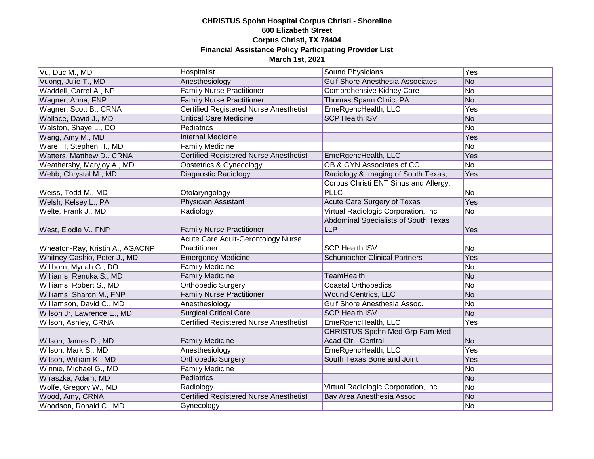| Vu, Duc M., MD                  | Hospitalist                                   | Sound Physicians                        | Yes |
|---------------------------------|-----------------------------------------------|-----------------------------------------|-----|
| Vuong, Julie T., MD             | Anesthesiology                                | <b>Gulf Shore Anesthesia Associates</b> | No  |
| Waddell, Carrol A., NP          | <b>Family Nurse Practitioner</b>              | Comprehensive Kidney Care               | No  |
| Wagner, Anna, FNP               | <b>Family Nurse Practitioner</b>              | Thomas Spann Clinic, PA                 | No  |
| Wagner, Scott B., CRNA          | <b>Certified Registered Nurse Anesthetist</b> | EmeRgencHealth, LLC                     | Yes |
| Wallace, David J., MD           | <b>Critical Care Medicine</b>                 | <b>SCP Health ISV</b>                   | No  |
| Walston, Shaye L., DO           | Pediatrics                                    |                                         | No  |
| Wang, Amy M., MD                | <b>Internal Medicine</b>                      |                                         | Yes |
| Ware III, Stephen H., MD        | <b>Family Medicine</b>                        |                                         | No  |
| Watters, Matthew D., CRNA       | <b>Certified Registered Nurse Anesthetist</b> | EmeRgencHealth, LLC                     | Yes |
| Weathersby, Maryjoy A., MD      | Obstetrics & Gynecology                       | OB & GYN Associates of CC               | No  |
| Webb, Chrystal M., MD           | Diagnostic Radiology                          | Radiology & Imaging of South Texas,     | Yes |
|                                 |                                               | Corpus Christi ENT Sinus and Allergy,   |     |
| Weiss, Todd M., MD              | Otolaryngology                                | <b>PLLC</b>                             | No  |
| Welsh, Kelsey L., PA            | <b>Physician Assistant</b>                    | Acute Care Surgery of Texas             | Yes |
| Welte, Frank J., MD             | Radiology                                     | Virtual Radiologic Corporation, Inc.    | No  |
|                                 |                                               | Abdominal Specialists of South Texas    |     |
| West, Elodie V., FNP            | <b>Family Nurse Practitioner</b>              | <b>LLP</b>                              | Yes |
|                                 | Acute Care Adult-Gerontology Nurse            |                                         |     |
| Wheaton-Ray, Kristin A., AGACNP | Practitioner                                  | <b>SCP Health ISV</b>                   | No  |
| Whitney-Cashio, Peter J., MD    | <b>Emergency Medicine</b>                     | <b>Schumacher Clinical Partners</b>     | Yes |
| Willborn, Myriah G., DO         | <b>Family Medicine</b>                        |                                         | No  |
| Williams, Renuka S., MD         | <b>Family Medicine</b>                        | <b>TeamHealth</b>                       | No  |
| Williams, Robert S., MD         | Orthopedic Surgery                            | <b>Coastal Orthopedics</b>              | No  |
| Williams, Sharon M., FNP        | <b>Family Nurse Practitioner</b>              | <b>Wound Centrics, LLC</b>              | No  |
| Williamson, David C., MD        | Anesthesiology                                | Gulf Shore Anesthesia Assoc.            | No  |
| Wilson Jr, Lawrence E., MD      | <b>Surgical Critical Care</b>                 | <b>SCP Health ISV</b>                   | No  |
| Wilson, Ashley, CRNA            | <b>Certified Registered Nurse Anesthetist</b> | EmeRgencHealth, LLC                     | Yes |
|                                 |                                               | CHRISTUS Spohn Med Grp Fam Med          |     |
| Wilson, James D., MD            | <b>Family Medicine</b>                        | Acad Ctr - Central                      | No  |
| Wilson, Mark S., MD             | Anesthesiology                                | EmeRgencHealth, LLC                     | Yes |
| Wilson, William K., MD          | <b>Orthopedic Surgery</b>                     | South Texas Bone and Joint              | Yes |
| Winnie, Michael G., MD          | Family Medicine                               |                                         | No  |
| Wiraszka, Adam, MD              | Pediatrics                                    |                                         | No  |
| Wolfe, Gregory W., MD           | Radiology                                     | Virtual Radiologic Corporation, Inc     | No  |
| Wood, Amy, CRNA                 | <b>Certified Registered Nurse Anesthetist</b> | Bay Area Anesthesia Assoc               | No  |
| Woodson, Ronald C., MD          | Gynecology                                    |                                         | No  |